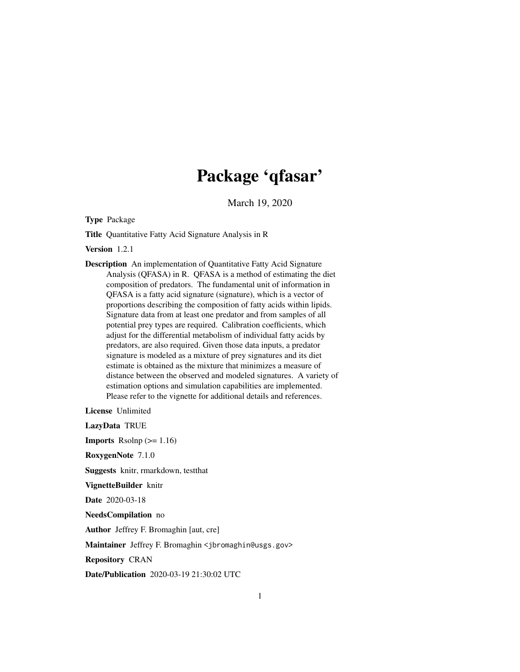# Package 'qfasar'

March 19, 2020

Type Package

Title Quantitative Fatty Acid Signature Analysis in R

Version 1.2.1

Description An implementation of Quantitative Fatty Acid Signature Analysis (QFASA) in R. QFASA is a method of estimating the diet composition of predators. The fundamental unit of information in QFASA is a fatty acid signature (signature), which is a vector of proportions describing the composition of fatty acids within lipids. Signature data from at least one predator and from samples of all potential prey types are required. Calibration coefficients, which adjust for the differential metabolism of individual fatty acids by predators, are also required. Given those data inputs, a predator signature is modeled as a mixture of prey signatures and its diet estimate is obtained as the mixture that minimizes a measure of distance between the observed and modeled signatures. A variety of estimation options and simulation capabilities are implemented. Please refer to the vignette for additional details and references.

License Unlimited

LazyData TRUE **Imports** Rsolnp  $(>= 1.16)$ RoxygenNote 7.1.0 Suggests knitr, rmarkdown, testthat VignetteBuilder knitr Date 2020-03-18 NeedsCompilation no Author Jeffrey F. Bromaghin [aut, cre] Maintainer Jeffrey F. Bromaghin <jbromaghin@usgs.gov> Repository CRAN Date/Publication 2020-03-19 21:30:02 UTC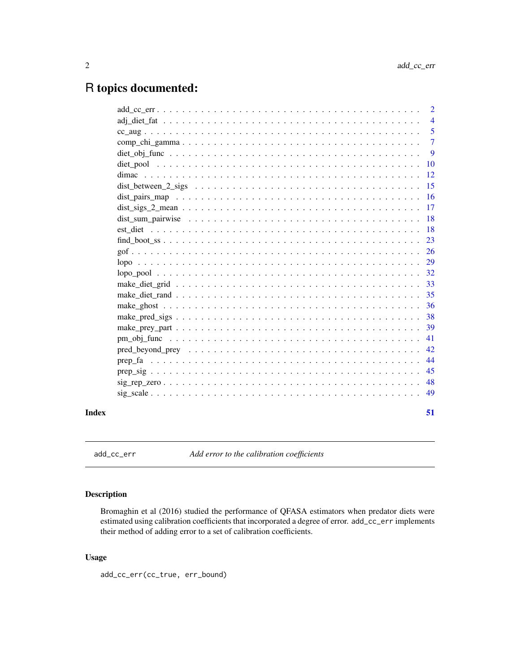## <span id="page-1-0"></span>R topics documented:

|       |                                                                                                         | 2              |
|-------|---------------------------------------------------------------------------------------------------------|----------------|
|       |                                                                                                         | $\overline{4}$ |
|       |                                                                                                         | 5              |
|       |                                                                                                         | $\overline{7}$ |
|       |                                                                                                         | 9              |
|       |                                                                                                         | <b>10</b>      |
|       |                                                                                                         | 12             |
|       |                                                                                                         | 15             |
|       |                                                                                                         | <b>16</b>      |
|       |                                                                                                         | 17             |
|       | dist sum pairwise $\ldots \ldots \ldots \ldots \ldots \ldots \ldots \ldots \ldots \ldots \ldots \ldots$ | 18             |
|       |                                                                                                         | -18            |
|       |                                                                                                         | 23             |
|       |                                                                                                         | <sup>26</sup>  |
|       |                                                                                                         | 29             |
|       |                                                                                                         | 32             |
|       |                                                                                                         | 33             |
|       |                                                                                                         | 35             |
|       |                                                                                                         | 36             |
|       |                                                                                                         | 38             |
|       |                                                                                                         | 39             |
|       |                                                                                                         | 41             |
|       |                                                                                                         | 42             |
|       |                                                                                                         | 44             |
|       |                                                                                                         | 45             |
|       |                                                                                                         | 48             |
|       |                                                                                                         | 49             |
| Index |                                                                                                         | 51             |

add\_cc\_err *Add error to the calibration coefficients*

#### Description

Bromaghin et al (2016) studied the performance of QFASA estimators when predator diets were estimated using calibration coefficients that incorporated a degree of error. add\_cc\_err implements their method of adding error to a set of calibration coefficients.

#### Usage

add\_cc\_err(cc\_true, err\_bound)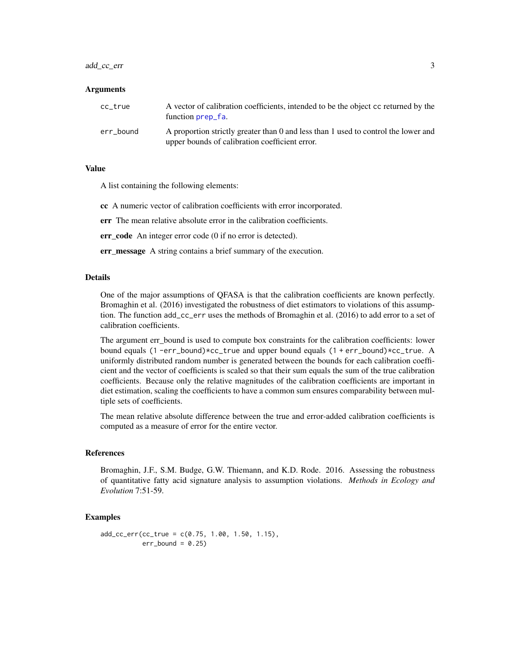#### <span id="page-2-0"></span>add\_cc\_err 3

#### Arguments

| cc true   | A vector of calibration coefficients, intended to be the object cc returned by the<br>function prep_fa.                              |
|-----------|--------------------------------------------------------------------------------------------------------------------------------------|
| err bound | A proportion strictly greater than 0 and less than 1 used to control the lower and<br>upper bounds of calibration coefficient error. |

#### Value

A list containing the following elements:

cc A numeric vector of calibration coefficients with error incorporated.

err The mean relative absolute error in the calibration coefficients.

err\_code An integer error code (0 if no error is detected).

err\_message A string contains a brief summary of the execution.

#### Details

One of the major assumptions of QFASA is that the calibration coefficients are known perfectly. Bromaghin et al. (2016) investigated the robustness of diet estimators to violations of this assumption. The function add\_cc\_err uses the methods of Bromaghin et al. (2016) to add error to a set of calibration coefficients.

The argument err\_bound is used to compute box constraints for the calibration coefficients: lower bound equals (1 -err\_bound)\*cc\_true and upper bound equals (1 + err\_bound)\*cc\_true. A uniformly distributed random number is generated between the bounds for each calibration coefficient and the vector of coefficients is scaled so that their sum equals the sum of the true calibration coefficients. Because only the relative magnitudes of the calibration coefficients are important in diet estimation, scaling the coefficients to have a common sum ensures comparability between multiple sets of coefficients.

The mean relative absolute difference between the true and error-added calibration coefficients is computed as a measure of error for the entire vector.

#### References

Bromaghin, J.F., S.M. Budge, G.W. Thiemann, and K.D. Rode. 2016. Assessing the robustness of quantitative fatty acid signature analysis to assumption violations. *Methods in Ecology and Evolution* 7:51-59.

```
add\_cc\_err(cc\_true = c(0.75, 1.00, 1.50, 1.15),
           err\_bound = 0.25
```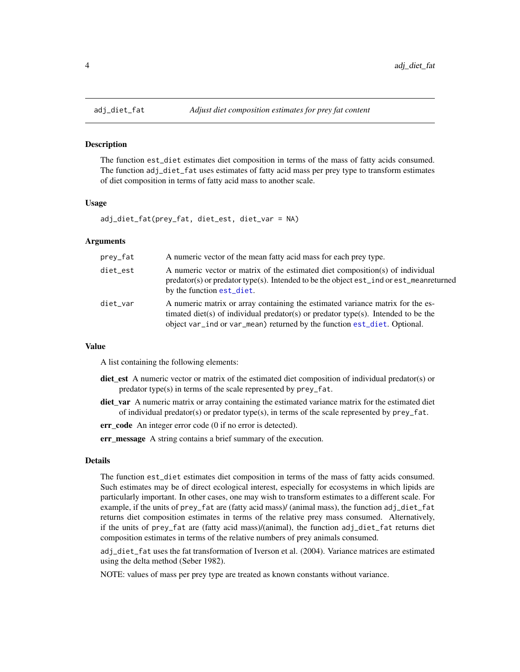<span id="page-3-0"></span>

#### Description

The function est\_diet estimates diet composition in terms of the mass of fatty acids consumed. The function adj\_diet\_fat uses estimates of fatty acid mass per prey type to transform estimates of diet composition in terms of fatty acid mass to another scale.

#### Usage

adj\_diet\_fat(prey\_fat, diet\_est, diet\_var = NA)

#### Arguments

| prey_fat | A numeric vector of the mean fatty acid mass for each prey type.                                                                                                                                                                                |
|----------|-------------------------------------------------------------------------------------------------------------------------------------------------------------------------------------------------------------------------------------------------|
| diet_est | A numeric vector or matrix of the estimated diet composition(s) of individual<br>predator(s) or predator type(s). Intended to be the object est_ind or est_meanreturned<br>by the function est_diet.                                            |
| diet_var | A numeric matrix or array containing the estimated variance matrix for the es-<br>timated diet(s) of individual predator(s) or predator type(s). Intended to be the<br>object var_ind or var_mean) returned by the function est_diet. Optional. |

#### Value

A list containing the following elements:

- diet\_est A numeric vector or matrix of the estimated diet composition of individual predator(s) or predator type(s) in terms of the scale represented by prey\_fat.
- diet\_var A numeric matrix or array containing the estimated variance matrix for the estimated diet of individual predator(s) or predator type(s), in terms of the scale represented by  $prey_f$  fat.

err code An integer error code (0 if no error is detected).

err\_message A string contains a brief summary of the execution.

#### Details

The function est\_diet estimates diet composition in terms of the mass of fatty acids consumed. Such estimates may be of direct ecological interest, especially for ecosystems in which lipids are particularly important. In other cases, one may wish to transform estimates to a different scale. For example, if the units of prey\_fat are (fatty acid mass)/ (animal mass), the function adj\_diet\_fat returns diet composition estimates in terms of the relative prey mass consumed. Alternatively, if the units of prey\_fat are (fatty acid mass)/(animal), the function adj\_diet\_fat returns diet composition estimates in terms of the relative numbers of prey animals consumed.

adj\_diet\_fat uses the fat transformation of Iverson et al. (2004). Variance matrices are estimated using the delta method (Seber 1982).

NOTE: values of mass per prey type are treated as known constants without variance.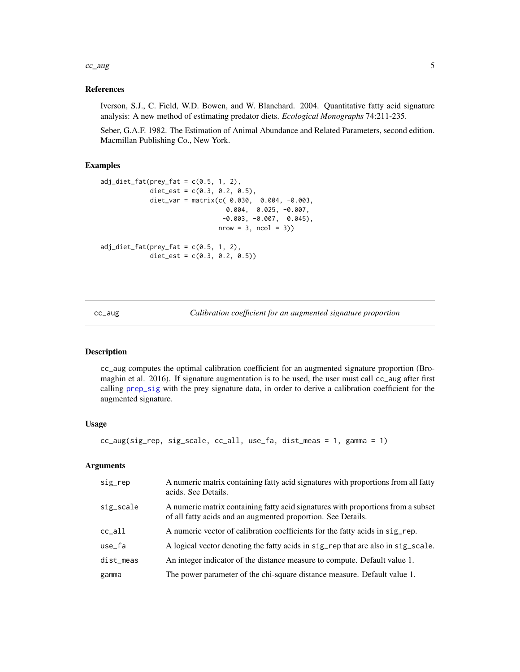#### <span id="page-4-0"></span> $cc\_{aug}$  5

#### References

Iverson, S.J., C. Field, W.D. Bowen, and W. Blanchard. 2004. Quantitative fatty acid signature analysis: A new method of estimating predator diets. *Ecological Monographs* 74:211-235.

Seber, G.A.F. 1982. The Estimation of Animal Abundance and Related Parameters, second edition. Macmillan Publishing Co., New York.

#### Examples

```
adj\_dict\_fat(prey\_fat = c(0.5, 1, 2),diet_est = c(0.3, 0.2, 0.5),
             diet_var = matrix(c( 0.030, 0.004, -0.003,
                                 0.004, 0.025, -0.007,
                                -0.003, -0.007, 0.045),
                               nrow = 3, ncol = 3)adj\_dict\_fat(prey\_fat = c(0.5, 1, 2),diet_est = c(0.3, 0.2, 0.5))
```
<span id="page-4-1"></span>cc\_aug *Calibration coefficient for an augmented signature proportion*

#### Description

cc\_aug computes the optimal calibration coefficient for an augmented signature proportion (Bromaghin et al. 2016). If signature augmentation is to be used, the user must call cc\_aug after first calling [prep\\_sig](#page-44-1) with the prey signature data, in order to derive a calibration coefficient for the augmented signature.

#### Usage

```
cc_aug(sig_rep, sig_scale, cc_all, use_fa, dist_meas = 1, gamma = 1)
```
#### Arguments

| sig_rep   | A numeric matrix containing fatty acid signatures with proportions from all fatty<br>acids. See Details.                                         |
|-----------|--------------------------------------------------------------------------------------------------------------------------------------------------|
| sig_scale | A numeric matrix containing fatty acid signatures with proportions from a subset<br>of all fatty acids and an augmented proportion. See Details. |
| cc all    | A numeric vector of calibration coefficients for the fatty acids in sig_rep.                                                                     |
| use_fa    | A logical vector denoting the fatty acids in sig_rep that are also in sig_scale.                                                                 |
| dist_meas | An integer indicator of the distance measure to compute. Default value 1.                                                                        |
| gamma     | The power parameter of the chi-square distance measure. Default value 1.                                                                         |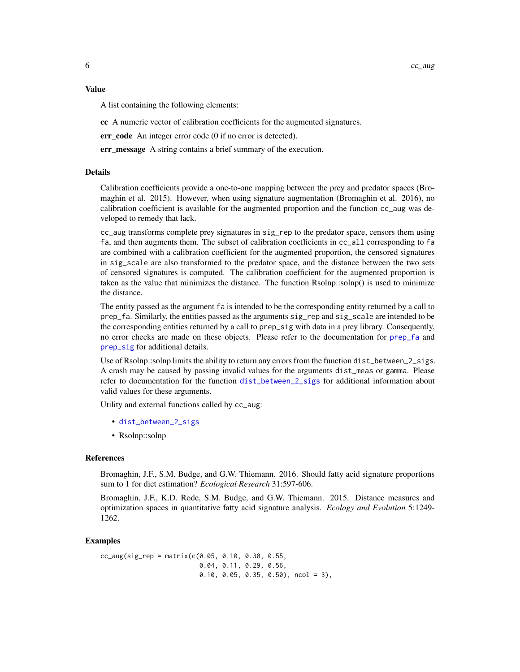<span id="page-5-0"></span>A list containing the following elements:

cc A numeric vector of calibration coefficients for the augmented signatures.

err\_code An integer error code (0 if no error is detected).

err\_message A string contains a brief summary of the execution.

#### Details

Calibration coefficients provide a one-to-one mapping between the prey and predator spaces (Bromaghin et al. 2015). However, when using signature augmentation (Bromaghin et al. 2016), no calibration coefficient is available for the augmented proportion and the function cc\_aug was developed to remedy that lack.

cc\_aug transforms complete prey signatures in sig\_rep to the predator space, censors them using fa, and then augments them. The subset of calibration coefficients in cc\_all corresponding to fa are combined with a calibration coefficient for the augmented proportion, the censored signatures in sig\_scale are also transformed to the predator space, and the distance between the two sets of censored signatures is computed. The calibration coefficient for the augmented proportion is taken as the value that minimizes the distance. The function Rsolnp::solnp() is used to minimize the distance.

The entity passed as the argument fa is intended to be the corresponding entity returned by a call to prep\_fa. Similarly, the entities passed as the arguments sig\_rep and sig\_scale are intended to be the corresponding entities returned by a call to prep\_sig with data in a prey library. Consequently, no error checks are made on these objects. Please refer to the documentation for [prep\\_fa](#page-43-1) and prep sig for additional details.

Use of Rsolnp::solnp limits the ability to return any errors from the function dist\_between\_2\_sigs. A crash may be caused by passing invalid values for the arguments dist\_meas or gamma. Please refer to documentation for the function [dist\\_between\\_2\\_sigs](#page-14-1) for additional information about valid values for these arguments.

Utility and external functions called by cc\_aug:

- [dist\\_between\\_2\\_sigs](#page-14-1)
- Rsolnp::solnp

#### References

Bromaghin, J.F., S.M. Budge, and G.W. Thiemann. 2016. Should fatty acid signature proportions sum to 1 for diet estimation? *Ecological Research* 31:597-606.

Bromaghin, J.F., K.D. Rode, S.M. Budge, and G.W. Thiemann. 2015. Distance measures and optimization spaces in quantitative fatty acid signature analysis. *Ecology and Evolution* 5:1249- 1262.

#### Examples

 $cc_$ aug(sig\_rep = matrix( $c(0.05, 0.10, 0.30, 0.55,$ 0.04, 0.11, 0.29, 0.56, 0.10, 0.05, 0.35, 0.50), ncol = 3),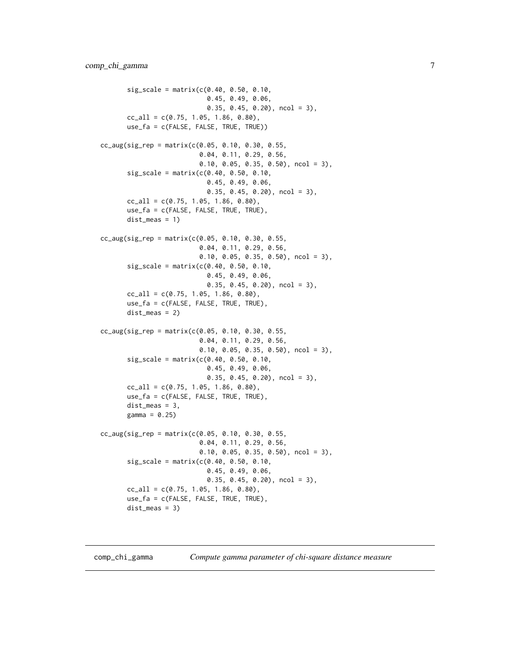```
sig\_scale = matrix(c(0.40, 0.50, 0.10,0.45, 0.49, 0.06,
                            0.35, 0.45, 0.20), ncol = 3),
       cc<sub>-all</sub> = c(0.75, 1.05, 1.86, 0.80),
       use_fa = c(FALSE, FALSE, TRUE, TRUE))
cc_aug(sig_rep = matrix(c(0.05, 0.10, 0.30, 0.55,0.04, 0.11, 0.29, 0.56,
                          0.10, 0.05, 0.35, 0.50), ncol = 3),
       sig\_scale = matrix(c(0.40, 0.50, 0.10,0.45, 0.49, 0.06,
                            0.35, 0.45, 0.20), ncol = 3),
       cc\_all = c(0.75, 1.05, 1.86, 0.80),
       use_fa = c(FALSE, FALSE, TRUE, TRUE),
       dist_meas = 1)
cc_aug(sig_rep = matrix(c(0.05, 0.10, 0.30, 0.55,0.04, 0.11, 0.29, 0.56,
                          0.10, 0.05, 0.35, 0.50), ncol = 3),
       sig\_scale = matrix(c(0.40, 0.50, 0.10,0.45, 0.49, 0.06,
                            0.35, 0.45, 0.20), ncol = 3),
       cc\_all = c(0.75, 1.05, 1.86, 0.80),use_fa = c(FALSE, FALSE, TRUE, TRUE),
       dist_meas = 2)
cc_aug(sig_rep = matrix(c(0.05, 0.10, 0.30, 0.55,0.04, 0.11, 0.29, 0.56,
                          0.10, 0.05, 0.35, 0.50), ncol = 3),
       sig\_scale = matrix(c(0.40, 0.50, 0.10,0.45, 0.49, 0.06,
                            0.35, 0.45, 0.20), ncol = 3),
       cc\_all = c(0.75, 1.05, 1.86, 0.80),use_fa = c(FALSE, FALSE, TRUE, TRUE),
       dist_meas = 3,
       gamma = 0.25cc_aug(sig_rep = matrix(c(0.05, 0.10, 0.30, 0.55,0.04, 0.11, 0.29, 0.56,
                          0.10, 0.05, 0.35, 0.50), ncol = 3),
       sig\_scale = matrix(c(0.40, 0.50, 0.10,0.45, 0.49, 0.06,
                            0.35, 0.45, 0.20), ncol = 3),
       cc\_all = c(0.75, 1.05, 1.86, 0.80),
       use_fa = c(FALSE, FALSE, TRUE, TRUE),
       dist_meas = 3)
```
comp\_chi\_gamma *Compute gamma parameter of chi-square distance measure*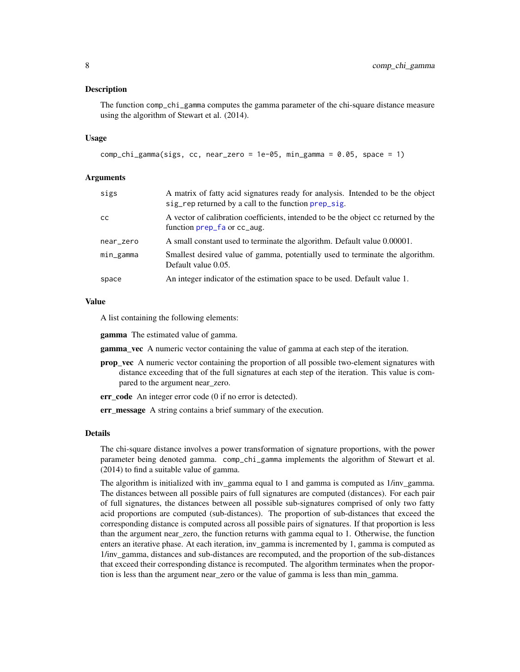#### <span id="page-7-0"></span>Description

The function comp\_chi\_gamma computes the gamma parameter of the chi-square distance measure using the algorithm of Stewart et al. (2014).

#### Usage

```
comp_chi_gamma(sigs, cc, near_zero = 1e-05, min_gamma = 0.05, space = 1)
```
#### Arguments

| sigs      | A matrix of fatty acid signatures ready for analysis. Intended to be the object<br>sig_rep returned by a call to the function prep_sig. |
|-----------|-----------------------------------------------------------------------------------------------------------------------------------------|
| cс        | A vector of calibration coefficients, intended to be the object cc returned by the<br>function prep_fa or cc_aug.                       |
| near_zero | A small constant used to terminate the algorithm. Default value 0.00001.                                                                |
| min_gamma | Smallest desired value of gamma, potentially used to terminate the algorithm.<br>Default value 0.05.                                    |
| space     | An integer indicator of the estimation space to be used. Default value 1.                                                               |
|           |                                                                                                                                         |

#### Value

A list containing the following elements:

gamma The estimated value of gamma.

**gamma\_vec** A numeric vector containing the value of gamma at each step of the iteration.

- **prop\_vec** A numeric vector containing the proportion of all possible two-element signatures with distance exceeding that of the full signatures at each step of the iteration. This value is compared to the argument near\_zero.
- err\_code An integer error code (0 if no error is detected).

err\_message A string contains a brief summary of the execution.

#### Details

The chi-square distance involves a power transformation of signature proportions, with the power parameter being denoted gamma. comp\_chi\_gamma implements the algorithm of Stewart et al. (2014) to find a suitable value of gamma.

The algorithm is initialized with inv\_gamma equal to 1 and gamma is computed as 1/inv\_gamma. The distances between all possible pairs of full signatures are computed (distances). For each pair of full signatures, the distances between all possible sub-signatures comprised of only two fatty acid proportions are computed (sub-distances). The proportion of sub-distances that exceed the corresponding distance is computed across all possible pairs of signatures. If that proportion is less than the argument near\_zero, the function returns with gamma equal to 1. Otherwise, the function enters an iterative phase. At each iteration, inv\_gamma is incremented by 1, gamma is computed as 1/inv\_gamma, distances and sub-distances are recomputed, and the proportion of the sub-distances that exceed their corresponding distance is recomputed. The algorithm terminates when the proportion is less than the argument near\_zero or the value of gamma is less than min\_gamma.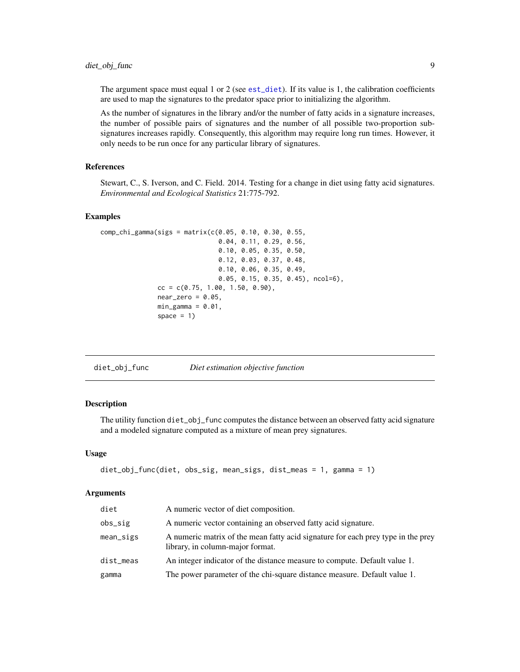#### <span id="page-8-0"></span>diet\_obj\_func 9

The argument space must equal 1 or 2 (see [est\\_diet](#page-17-1)). If its value is 1, the calibration coefficients are used to map the signatures to the predator space prior to initializing the algorithm.

As the number of signatures in the library and/or the number of fatty acids in a signature increases, the number of possible pairs of signatures and the number of all possible two-proportion subsignatures increases rapidly. Consequently, this algorithm may require long run times. However, it only needs to be run once for any particular library of signatures.

#### References

Stewart, C., S. Iverson, and C. Field. 2014. Testing for a change in diet using fatty acid signatures. *Environmental and Ecological Statistics* 21:775-792.

#### Examples

```
comp_chi_gamma(sigs = matrix(c(0.05, 0.10, 0.30, 0.55,
                                0.04, 0.11, 0.29, 0.56,
                                0.10, 0.05, 0.35, 0.50,
                                0.12, 0.03, 0.37, 0.48,
                                0.10, 0.06, 0.35, 0.49,
                                0.05, 0.15, 0.35, 0.45), ncol=6),
               cc = c(0.75, 1.00, 1.50, 0.90),
               near\_zero = 0.05,
               min_{g}amma = 0.01,
               space = 1)
```

| diet_obj_func | Diet estimation objective function |  |  |
|---------------|------------------------------------|--|--|
|---------------|------------------------------------|--|--|

#### Description

The utility function diet\_obj\_func computes the distance between an observed fatty acid signature and a modeled signature computed as a mixture of mean prey signatures.

#### Usage

```
diet_obj_func(diet, obs_sig, mean_sigs, dist_meas = 1, gamma = 1)
```
#### Arguments

| diet      | A numeric vector of diet composition.                                                                                |
|-----------|----------------------------------------------------------------------------------------------------------------------|
| obs_sig   | A numeric vector containing an observed fatty acid signature.                                                        |
| mean_sigs | A numeric matrix of the mean fatty acid signature for each prey type in the prey<br>library, in column-major format. |
| dist_meas | An integer indicator of the distance measure to compute. Default value 1.                                            |
| gamma     | The power parameter of the chi-square distance measure. Default value 1.                                             |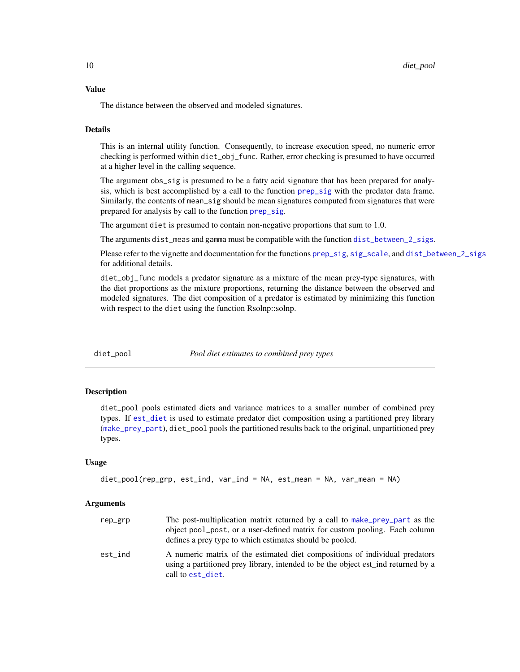#### <span id="page-9-0"></span>Value

The distance between the observed and modeled signatures.

#### Details

This is an internal utility function. Consequently, to increase execution speed, no numeric error checking is performed within diet\_obj\_func. Rather, error checking is presumed to have occurred at a higher level in the calling sequence.

The argument obs\_sig is presumed to be a fatty acid signature that has been prepared for analysis, which is best accomplished by a call to the function [prep\\_sig](#page-44-1) with the predator data frame. Similarly, the contents of mean\_sig should be mean signatures computed from signatures that were prepared for analysis by call to the function [prep\\_sig](#page-44-1).

The argument diet is presumed to contain non-negative proportions that sum to 1.0.

The arguments dist\_meas and gamma must be compatible with the function [dist\\_between\\_2\\_sigs](#page-14-1).

Please refer to the vignette and documentation for the functions [prep\\_sig](#page-44-1), [sig\\_scale](#page-48-1), and [dist\\_between\\_2\\_sigs](#page-14-1) for additional details.

diet\_obj\_func models a predator signature as a mixture of the mean prey-type signatures, with the diet proportions as the mixture proportions, returning the distance between the observed and modeled signatures. The diet composition of a predator is estimated by minimizing this function with respect to the diet using the function Rsolnp::solnp.

diet\_pool *Pool diet estimates to combined prey types*

#### Description

diet\_pool pools estimated diets and variance matrices to a smaller number of combined prey types. If [est\\_diet](#page-17-1) is used to estimate predator diet composition using a partitioned prey library ([make\\_prey\\_part](#page-38-1)), diet\_pool pools the partitioned results back to the original, unpartitioned prey types.

#### Usage

```
diet_pool(rep_grp, est_ind, var_ind = NA, est_mean = NA, var_mean = NA)
```
#### Arguments

| rep_grp | The post-multiplication matrix returned by a call to make prey part as the<br>object pool post, or a user-defined matrix for custom pooling. Each column<br>defines a prey type to which estimates should be pooled. |
|---------|----------------------------------------------------------------------------------------------------------------------------------------------------------------------------------------------------------------------|
| est ind | A numeric matrix of the estimated diet compositions of individual predators<br>using a partitioned prey library, intended to be the object est ind returned by a<br>call to est_diet.                                |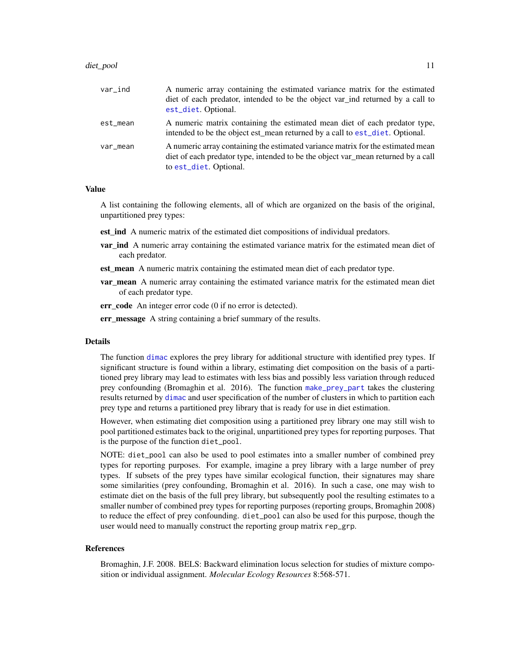#### <span id="page-10-0"></span>diet\_pool 11

| var_ind  | A numeric array containing the estimated variance matrix for the estimated<br>diet of each predator, intended to be the object var_ind returned by a call to<br>est_diet. Optional.            |
|----------|------------------------------------------------------------------------------------------------------------------------------------------------------------------------------------------------|
| est_mean | A numeric matrix containing the estimated mean diet of each predator type,<br>intended to be the object est_mean returned by a call to est_diet. Optional.                                     |
| var_mean | A numeric array containing the estimated variance matrix for the estimated mean<br>diet of each predator type, intended to be the object var mean returned by a call<br>to est_diet. Optional. |

#### Value

A list containing the following elements, all of which are organized on the basis of the original, unpartitioned prey types:

- est\_ind A numeric matrix of the estimated diet compositions of individual predators.
- **var\_ind** A numeric array containing the estimated variance matrix for the estimated mean diet of each predator.
- est mean A numeric matrix containing the estimated mean diet of each predator type.
- **var mean** A numeric array containing the estimated variance matrix for the estimated mean diet of each predator type.
- err code An integer error code (0 if no error is detected).
- err message A string containing a brief summary of the results.

#### Details

The function [dimac](#page-11-1) explores the prey library for additional structure with identified prey types. If significant structure is found within a library, estimating diet composition on the basis of a partitioned prey library may lead to estimates with less bias and possibly less variation through reduced prey confounding (Bromaghin et al. 2016). The function [make\\_prey\\_part](#page-38-1) takes the clustering results returned by [dimac](#page-11-1) and user specification of the number of clusters in which to partition each prey type and returns a partitioned prey library that is ready for use in diet estimation.

However, when estimating diet composition using a partitioned prey library one may still wish to pool partitioned estimates back to the original, unpartitioned prey types for reporting purposes. That is the purpose of the function diet\_pool.

NOTE: diet\_pool can also be used to pool estimates into a smaller number of combined prey types for reporting purposes. For example, imagine a prey library with a large number of prey types. If subsets of the prey types have similar ecological function, their signatures may share some similarities (prey confounding, Bromaghin et al. 2016). In such a case, one may wish to estimate diet on the basis of the full prey library, but subsequently pool the resulting estimates to a smaller number of combined prey types for reporting purposes (reporting groups, Bromaghin 2008) to reduce the effect of prey confounding. diet\_pool can also be used for this purpose, though the user would need to manually construct the reporting group matrix rep\_grp.

#### References

Bromaghin, J.F. 2008. BELS: Backward elimination locus selection for studies of mixture composition or individual assignment. *Molecular Ecology Resources* 8:568-571.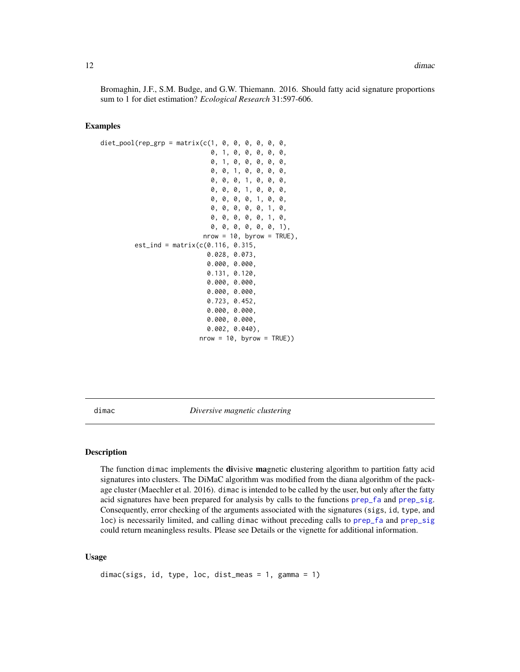<span id="page-11-0"></span>Bromaghin, J.F., S.M. Budge, and G.W. Thiemann. 2016. Should fatty acid signature proportions sum to 1 for diet estimation? *Ecological Research* 31:597-606.

#### Examples

```
diet_pool(rep_grp = matrix(c(1, 0, 0, 0, 0, 0, 0, 0,
                              0, 1, 0, 0, 0, 0, 0,
                              0, 1, 0, 0, 0, 0, 0,
                              0, 0, 1, 0, 0, 0, 0,
                              0, 0, 0, 1, 0, 0, 0,
                              0, 0, 0, 1, 0, 0, 0,
                              0, 0, 0, 0, 1, 0, 0,
                              0, 0, 0, 0, 0, 1, 0,
                              0, 0, 0, 0, 0, 1, 0,
                              0, 0, 0, 0, 0, 0, 1),
                           nrow = 10, byrow = TRUE),
         est\_ind = matrix(c(0.116, 0.315,0.028, 0.073,
                             0.000, 0.000,
                             0.131, 0.120,
                            0.000, 0.000,
                             0.000, 0.000,
                             0.723, 0.452,
                             0.000, 0.000,
                            0.000, 0.000,
                             0.002, 0.040),
                           nrow = 10, byrow = TRUE))
```
<span id="page-11-1"></span>dimac *Diversive magnetic clustering*

#### Description

The function dimac implements the **di**visive **magnetic clustering algorithm** to partition fatty acid signatures into clusters. The DiMaC algorithm was modified from the diana algorithm of the package cluster (Maechler et al. 2016). dimac is intended to be called by the user, but only after the fatty acid signatures have been prepared for analysis by calls to the functions [prep\\_fa](#page-43-1) and [prep\\_sig](#page-44-1). Consequently, error checking of the arguments associated with the signatures (sigs, id, type, and loc) is necessarily limited, and calling dimac without preceding calls to [prep\\_fa](#page-43-1) and [prep\\_sig](#page-44-1) could return meaningless results. Please see Details or the vignette for additional information.

#### Usage

```
dimac(sigs, id, type, loc, dist_meas = 1, gamma = 1)
```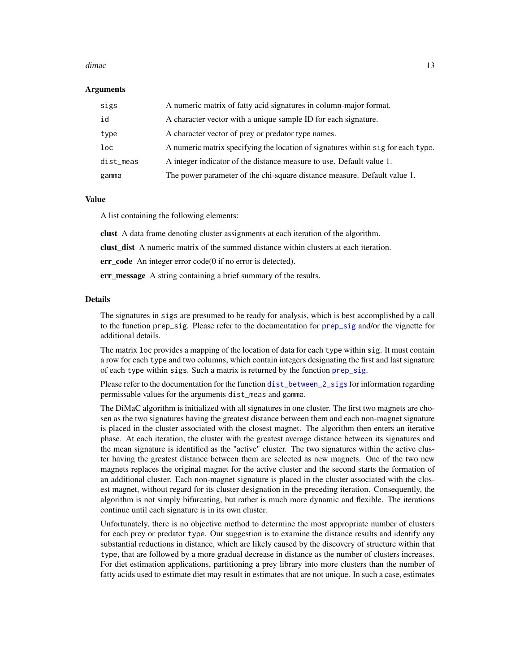#### <span id="page-12-0"></span>dimac and 13 and 13 and 13 and 13 and 13 and 13 and 13 and 13 and 13 and 13 and 13 and 13 and 13 and 13 and 13

#### Arguments

| sigs      | A numeric matrix of fatty acid signatures in column-major format.                |
|-----------|----------------------------------------------------------------------------------|
| id        | A character vector with a unique sample ID for each signature.                   |
| type      | A character vector of prey or predator type names.                               |
| loc       | A numeric matrix specifying the location of signatures within sig for each type. |
| dist_meas | A integer indicator of the distance measure to use. Default value 1.             |
| gamma     | The power parameter of the chi-square distance measure. Default value 1.         |

#### Value

A list containing the following elements:

clust A data frame denoting cluster assignments at each iteration of the algorithm.

clust\_dist A numeric matrix of the summed distance within clusters at each iteration.

err\_code An integer error code(0 if no error is detected).

err\_message A string containing a brief summary of the results.

#### Details

The signatures in sigs are presumed to be ready for analysis, which is best accomplished by a call to the function prep\_sig. Please refer to the documentation for [prep\\_sig](#page-44-1) and/or the vignette for additional details.

The matrix loc provides a mapping of the location of data for each type within sig. It must contain a row for each type and two columns, which contain integers designating the first and last signature of each type within sigs. Such a matrix is returned by the function [prep\\_sig](#page-44-1).

Please refer to the documentation for the function [dist\\_between\\_2\\_sigs](#page-14-1) for information regarding permissable values for the arguments dist\_meas and gamma.

The DiMaC algorithm is initialized with all signatures in one cluster. The first two magnets are chosen as the two signatures having the greatest distance between them and each non-magnet signature is placed in the cluster associated with the closest magnet. The algorithm then enters an iterative phase. At each iteration, the cluster with the greatest average distance between its signatures and the mean signature is identified as the "active" cluster. The two signatures within the active cluster having the greatest distance between them are selected as new magnets. One of the two new magnets replaces the original magnet for the active cluster and the second starts the formation of an additional cluster. Each non-magnet signature is placed in the cluster associated with the closest magnet, without regard for its cluster designation in the preceding iteration. Consequently, the algorithm is not simply bifurcating, but rather is much more dynamic and flexible. The iterations continue until each signature is in its own cluster.

Unfortunately, there is no objective method to determine the most appropriate number of clusters for each prey or predator type. Our suggestion is to examine the distance results and identify any substantial reductions in distance, which are likely caused by the discovery of structure within that type, that are followed by a more gradual decrease in distance as the number of clusters increases. For diet estimation applications, partitioning a prey library into more clusters than the number of fatty acids used to estimate diet may result in estimates that are not unique. In such a case, estimates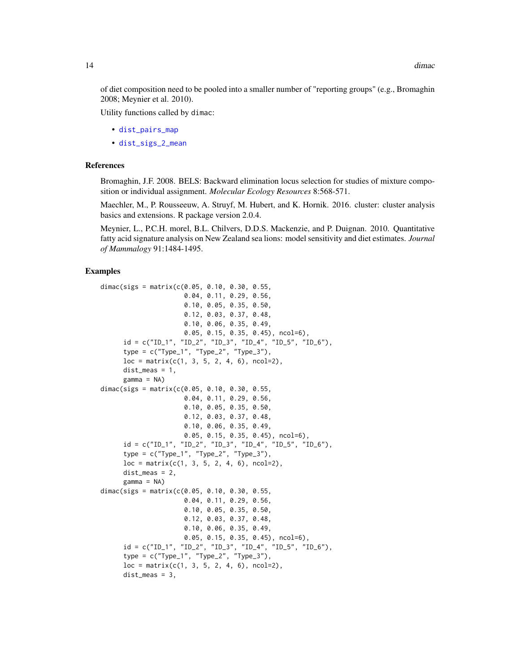<span id="page-13-0"></span>of diet composition need to be pooled into a smaller number of "reporting groups" (e.g., Bromaghin 2008; Meynier et al. 2010).

Utility functions called by dimac:

- [dist\\_pairs\\_map](#page-15-1)
- [dist\\_sigs\\_2\\_mean](#page-16-1)

#### **References**

Bromaghin, J.F. 2008. BELS: Backward elimination locus selection for studies of mixture composition or individual assignment. *Molecular Ecology Resources* 8:568-571.

Maechler, M., P. Rousseeuw, A. Struyf, M. Hubert, and K. Hornik. 2016. cluster: cluster analysis basics and extensions. R package version 2.0.4.

Meynier, L., P.C.H. morel, B.L. Chilvers, D.D.S. Mackenzie, and P. Duignan. 2010. Quantitative fatty acid signature analysis on New Zealand sea lions: model sensitivity and diet estimates. *Journal of Mammalogy* 91:1484-1495.

```
dimac(sigs = matrix(c(0.05, 0.10, 0.30, 0.55,
                     0.04, 0.11, 0.29, 0.56,
                     0.10, 0.05, 0.35, 0.50,
                     0.12, 0.03, 0.37, 0.48,
                     0.10, 0.06, 0.35, 0.49,
                     0.05, 0.15, 0.35, 0.45), ncol=6),
     id = c("ID_1", "ID_2", "ID_3", "ID_4", "ID_5", "ID_6"),type = c("Type_1", "Type_2", "Type_3"),loc = matrix(c(1, 3, 5, 2, 4, 6), ncol=2),dist_meas = 1,
     gamma = NA)
dimac(sigs = matrix(c(0.05, 0.10, 0.30, 0.55,0.04, 0.11, 0.29, 0.56,
                     0.10, 0.05, 0.35, 0.50,
                     0.12, 0.03, 0.37, 0.48,
                     0.10, 0.06, 0.35, 0.49,
                     0.05, 0.15, 0.35, 0.45), ncol=6),
     id = c("ID_1", "ID_2", "ID_3", "ID_4", "ID_5", "ID_6"),type = c("Type_1", "Type_2", "Type_3"),
     loc = matrix(c(1, 3, 5, 2, 4, 6), ncol=2),dist_meas = 2,
     gamma = NA)
dimac(sigs = matrix(c(0.05, 0.10, 0.30, 0.55,
                     0.04, 0.11, 0.29, 0.56,
                     0.10, 0.05, 0.35, 0.50,
                     0.12, 0.03, 0.37, 0.48,
                     0.10, 0.06, 0.35, 0.49,
                     0.05, 0.15, 0.35, 0.45), ncol=6),
     id = c("ID_1", "ID_2", "ID_3", "ID_4", "ID_5", "ID_6"),type = c("Type_1", "Type_2", "Type_3"),
     loc = matrix(c(1, 3, 5, 2, 4, 6), ncol=2),dist_meas = 3,
```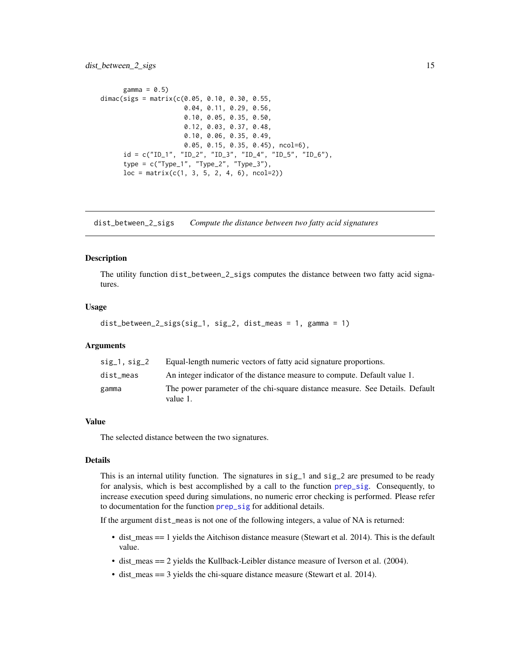```
gamma = 0.5)
dimac(sigs = matrix(c(0.05, 0.10, 0.30, 0.55,0.04, 0.11, 0.29, 0.56,
                     0.10, 0.05, 0.35, 0.50,
                     0.12, 0.03, 0.37, 0.48,
                     0.10, 0.06, 0.35, 0.49,
                     0.05, 0.15, 0.35, 0.45), ncol=6),
     id = c("ID_1", "ID_2", "ID_3", "ID_4", "ID_5", "ID_6"),type = c("Type_1", "Type_2", "Type_3"),loc = matrix(c(1, 3, 5, 2, 4, 6), ncol=2))
```
<span id="page-14-1"></span>dist\_between\_2\_sigs *Compute the distance between two fatty acid signatures*

#### Description

The utility function dist\_between\_2\_sigs computes the distance between two fatty acid signatures.

#### Usage

```
dist_between_2_sigs(sig_1, sig_2, dist_meas = 1, gamma = 1)
```
#### Arguments

| $sig_1$ , $sig_2$ | Equal-length numeric vectors of fatty acid signature proportions.                        |
|-------------------|------------------------------------------------------------------------------------------|
| dist meas         | An integer indicator of the distance measure to compute. Default value 1.                |
| gamma             | The power parameter of the chi-square distance measure. See Details. Default<br>value 1. |

#### Value

The selected distance between the two signatures.

#### Details

This is an internal utility function. The signatures in sig\_1 and sig\_2 are presumed to be ready for analysis, which is best accomplished by a call to the function [prep\\_sig](#page-44-1). Consequently, to increase execution speed during simulations, no numeric error checking is performed. Please refer to documentation for the function [prep\\_sig](#page-44-1) for additional details.

If the argument dist\_meas is not one of the following integers, a value of NA is returned:

- dist\_meas == 1 yields the Aitchison distance measure (Stewart et al. 2014). This is the default value.
- dist\_meas == 2 yields the Kullback-Leibler distance measure of Iverson et al. (2004).
- dist\_meas == 3 yields the chi-square distance measure (Stewart et al. 2014).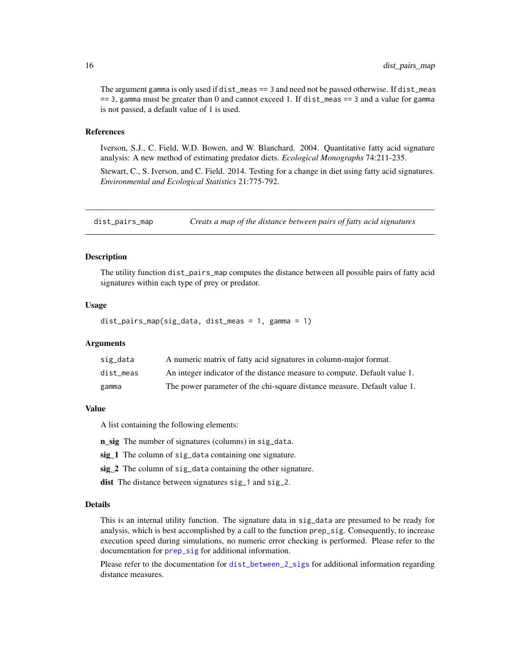<span id="page-15-0"></span>The argument gamma is only used if dist\_meas == 3 and need not be passed otherwise. If dist\_meas == 3, gamma must be greater than 0 and cannot exceed 1. If dist\_meas == 3 and a value for gamma is not passed, a default value of 1 is used.

#### References

Iverson, S.J., C. Field, W.D. Bowen, and W. Blanchard. 2004. Quantitative fatty acid signature analysis: A new method of estimating predator diets. *Ecological Monographs* 74:211-235.

Stewart, C., S. Iverson, and C. Field. 2014. Testing for a change in diet using fatty acid signatures. *Environmental and Ecological Statistics* 21:775-792.

<span id="page-15-1"></span>dist\_pairs\_map *Creats a map of the distance between pairs of fatty acid signatures*

#### Description

The utility function dist\_pairs\_map computes the distance between all possible pairs of fatty acid signatures within each type of prey or predator.

#### Usage

dist\_pairs\_map(sig\_data, dist\_meas = 1, gamma = 1)

#### Arguments

| sig_data  | A numeric matrix of fatty acid signatures in column-major format.         |
|-----------|---------------------------------------------------------------------------|
| dist meas | An integer indicator of the distance measure to compute. Default value 1. |
| gamma     | The power parameter of the chi-square distance measure. Default value 1.  |

#### Value

A list containing the following elements:

n\_sig The number of signatures (columns) in sig\_data.

sig\_1 The column of sig\_data containing one signature.

sig\_2 The column of sig\_data containing the other signature.

dist The distance between signatures sig<sub>1</sub> and sig<sub>12</sub>.

#### Details

This is an internal utility function. The signature data in sig\_data are presumed to be ready for analysis, which is best accomplished by a call to the function prep\_sig. Consequently, to increase execution speed during simulations, no numeric error checking is performed. Please refer to the documentation for **[prep\\_sig](#page-44-1)** for additional information.

Please refer to the documentation for [dist\\_between\\_2\\_sigs](#page-14-1) for additional information regarding distance measures.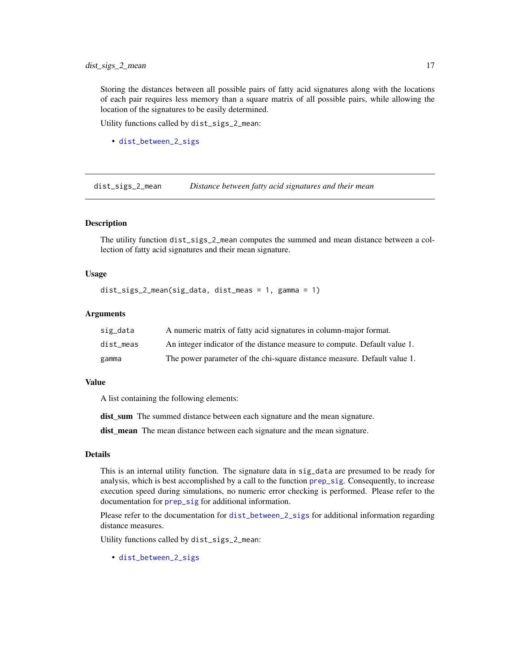<span id="page-16-0"></span>Storing the distances between all possible pairs of fatty acid signatures along with the locations of each pair requires less memory than a square matrix of all possible pairs, while allowing the location of the signatures to be easily determined.

Utility functions called by dist\_sigs\_2\_mean:

• [dist\\_between\\_2\\_sigs](#page-14-1)

<span id="page-16-1"></span>dist\_sigs\_2\_mean *Distance between fatty acid signatures and their mean*

#### Description

The utility function dist\_sigs\_2\_mean computes the summed and mean distance between a collection of fatty acid signatures and their mean signature.

#### Usage

```
dist_sigs_2_mean(sig_data, dist_meas = 1, gamma = 1)
```
#### **Arguments**

| sig_data  | A numeric matrix of fatty acid signatures in column-major format.         |
|-----------|---------------------------------------------------------------------------|
| dist meas | An integer indicator of the distance measure to compute. Default value 1. |
| gamma     | The power parameter of the chi-square distance measure. Default value 1.  |

#### Value

A list containing the following elements:

dist sum The summed distance between each signature and the mean signature.

dist\_mean The mean distance between each signature and the mean signature.

#### Details

This is an internal utility function. The signature data in sig\_data are presumed to be ready for analysis, which is best accomplished by a call to the function [prep\\_sig](#page-44-1). Consequently, to increase execution speed during simulations, no numeric error checking is performed. Please refer to the documentation for [prep\\_sig](#page-44-1) for additional information.

Please refer to the documentation for [dist\\_between\\_2\\_sigs](#page-14-1) for additional information regarding distance measures.

Utility functions called by dist\_sigs\_2\_mean:

• [dist\\_between\\_2\\_sigs](#page-14-1)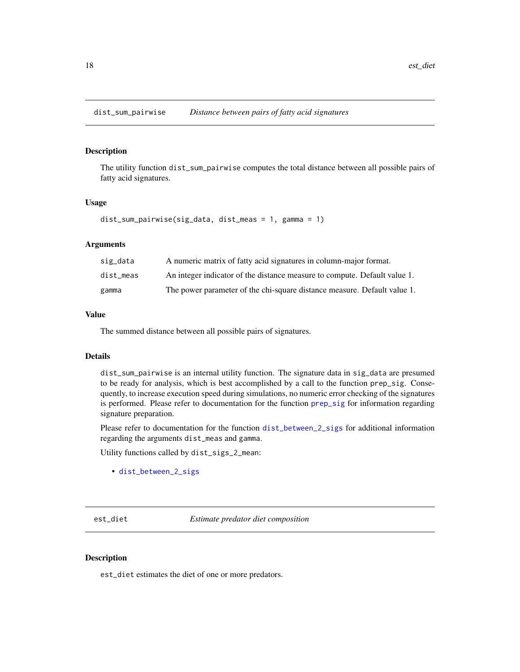<span id="page-17-0"></span>dist\_sum\_pairwise *Distance between pairs of fatty acid signatures*

#### Description

The utility function dist\_sum\_pairwise computes the total distance between all possible pairs of fatty acid signatures.

#### Usage

dist\_sum\_pairwise(sig\_data, dist\_meas = 1, gamma = 1)

#### Arguments

| sig_data  | A numeric matrix of fatty acid signatures in column-major format.         |
|-----------|---------------------------------------------------------------------------|
| dist meas | An integer indicator of the distance measure to compute. Default value 1. |
| gamma     | The power parameter of the chi-square distance measure. Default value 1.  |

#### Value

The summed distance between all possible pairs of signatures.

#### Details

dist\_sum\_pairwise is an internal utility function. The signature data in sig\_data are presumed to be ready for analysis, which is best accomplished by a call to the function prep\_sig. Consequently, to increase execution speed during simulations, no numeric error checking of the signatures is performed. Please refer to documentation for the function [prep\\_sig](#page-44-1) for information regarding signature preparation.

Please refer to documentation for the function [dist\\_between\\_2\\_sigs](#page-14-1) for additional information regarding the arguments dist\_meas and gamma.

Utility functions called by dist\_sigs\_2\_mean:

• [dist\\_between\\_2\\_sigs](#page-14-1)

<span id="page-17-1"></span>est\_diet *Estimate predator diet composition*

#### Description

est\_diet estimates the diet of one or more predators.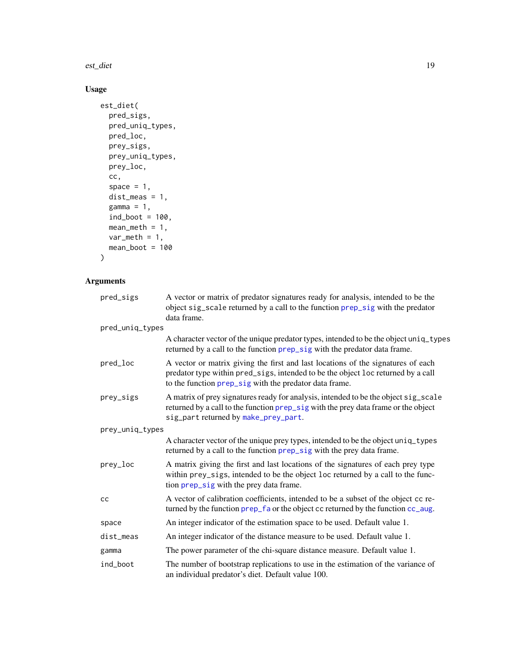<span id="page-18-0"></span>est\_diet 19

### Usage

```
est_diet(
 pred_sigs,
 pred_uniq_types,
 pred_loc,
 prey_sigs,
 prey_uniq_types,
 prey_loc,
 cc,
  space = 1,
 dist_meas = 1,
 gamma = 1,
 ind\_boot = 100,
 mean_meth = 1,
 var\_meth = 1,mean_boot = 100
)
```
### Arguments

| pred_sigs       | A vector or matrix of predator signatures ready for analysis, intended to be the<br>object sig_scale returned by a call to the function prep_sig with the predator<br>data frame.                                              |  |
|-----------------|--------------------------------------------------------------------------------------------------------------------------------------------------------------------------------------------------------------------------------|--|
| pred_uniq_types |                                                                                                                                                                                                                                |  |
|                 | A character vector of the unique predator types, intended to be the object uniq_types<br>returned by a call to the function prep_sig with the predator data frame.                                                             |  |
| pred_loc        | A vector or matrix giving the first and last locations of the signatures of each<br>predator type within pred_sigs, intended to be the object loc returned by a call<br>to the function prep_sig with the predator data frame. |  |
| prey_sigs       | A matrix of prey signatures ready for analysis, intended to be the object sig_scale<br>returned by a call to the function prep_sig with the prey data frame or the object<br>sig_part returned by make_prey_part.              |  |
| prey_uniq_types |                                                                                                                                                                                                                                |  |
|                 | A character vector of the unique prey types, intended to be the object uniq_types<br>returned by a call to the function prep_sig with the prey data frame.                                                                     |  |
| prey_loc        | A matrix giving the first and last locations of the signatures of each prey type<br>within prey_sigs, intended to be the object loc returned by a call to the func-<br>tion prep_sig with the prey data frame.                 |  |
| cc              | A vector of calibration coefficients, intended to be a subset of the object cc re-<br>turned by the function prep_fa or the object cc returned by the function cc_aug.                                                         |  |
| space           | An integer indicator of the estimation space to be used. Default value 1.                                                                                                                                                      |  |
| dist_meas       | An integer indicator of the distance measure to be used. Default value 1.                                                                                                                                                      |  |
| gamma           | The power parameter of the chi-square distance measure. Default value 1.                                                                                                                                                       |  |
| ind_boot        | The number of bootstrap replications to use in the estimation of the variance of<br>an individual predator's diet. Default value 100.                                                                                          |  |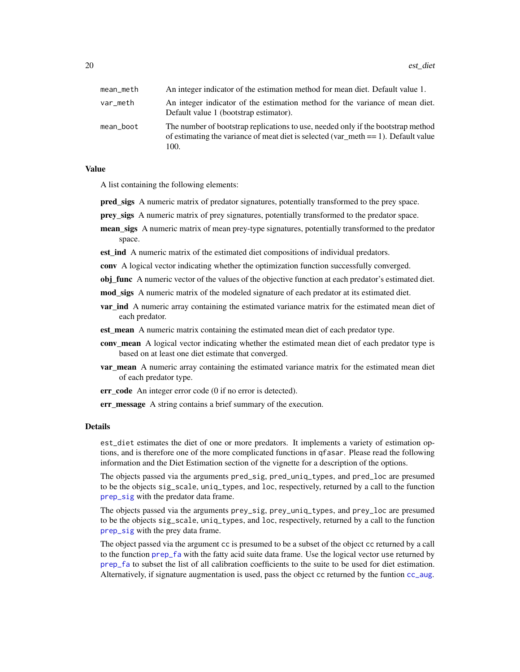<span id="page-19-0"></span>20 est\_diet

| mean_meth | An integer indicator of the estimation method for mean diet. Default value 1.                                                                                                     |
|-----------|-----------------------------------------------------------------------------------------------------------------------------------------------------------------------------------|
| var_meth  | An integer indicator of the estimation method for the variance of mean diet.<br>Default value 1 (bootstrap estimator).                                                            |
| mean_boot | The number of bootstrap replications to use, needed only if the bootstrap method<br>of estimating the variance of meat diet is selected (var meth $== 1$ ). Default value<br>100. |

#### Value

A list containing the following elements:

- pred sigs A numeric matrix of predator signatures, potentially transformed to the prey space.
- prey\_sigs A numeric matrix of prey signatures, potentially transformed to the predator space.
- mean\_sigs A numeric matrix of mean prey-type signatures, potentially transformed to the predator space.
- est\_ind A numeric matrix of the estimated diet compositions of individual predators.
- conv A logical vector indicating whether the optimization function successfully converged.
- **obj\_func** A numeric vector of the values of the objective function at each predator's estimated diet.
- mod\_sigs A numeric matrix of the modeled signature of each predator at its estimated diet.
- **var ind** A numeric array containing the estimated variance matrix for the estimated mean diet of each predator.
- est\_mean A numeric matrix containing the estimated mean diet of each predator type.
- conv\_mean A logical vector indicating whether the estimated mean diet of each predator type is based on at least one diet estimate that converged.
- **var mean** A numeric array containing the estimated variance matrix for the estimated mean diet of each predator type.
- err\_code An integer error code (0 if no error is detected).

err\_message A string contains a brief summary of the execution.

#### Details

est\_diet estimates the diet of one or more predators. It implements a variety of estimation options, and is therefore one of the more complicated functions in qfasar. Please read the following information and the Diet Estimation section of the vignette for a description of the options.

The objects passed via the arguments pred\_sig, pred\_uniq\_types, and pred\_loc are presumed to be the objects sig\_scale, uniq\_types, and loc, respectively, returned by a call to the function [prep\\_sig](#page-44-1) with the predator data frame.

The objects passed via the arguments prey\_sig, prey\_uniq\_types, and prey\_loc are presumed to be the objects sig\_scale, uniq\_types, and loc, respectively, returned by a call to the function [prep\\_sig](#page-44-1) with the prey data frame.

The object passed via the argument cc is presumed to be a subset of the object cc returned by a call to the function [prep\\_fa](#page-43-1) with the fatty acid suite data frame. Use the logical vector use returned by [prep\\_fa](#page-43-1) to subset the list of all calibration coefficients to the suite to be used for diet estimation. Alternatively, if signature augmentation is used, pass the object cc returned by the funtion [cc\\_aug](#page-4-1).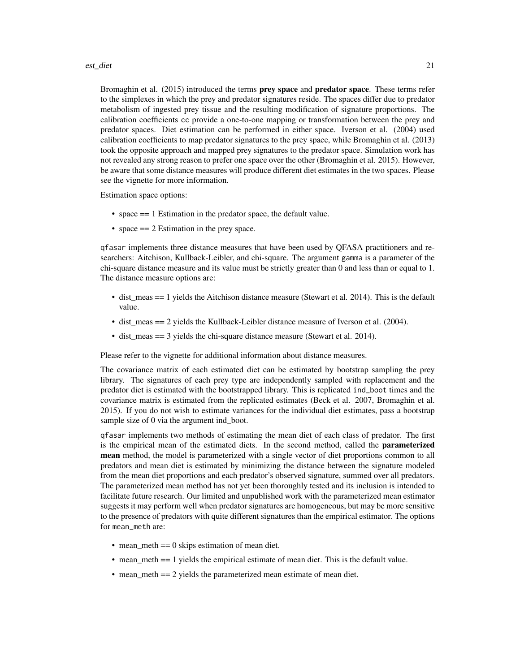#### est\_diet 21

Bromaghin et al. (2015) introduced the terms prey space and predator space. These terms refer to the simplexes in which the prey and predator signatures reside. The spaces differ due to predator metabolism of ingested prey tissue and the resulting modification of signature proportions. The calibration coefficients cc provide a one-to-one mapping or transformation between the prey and predator spaces. Diet estimation can be performed in either space. Iverson et al. (2004) used calibration coefficients to map predator signatures to the prey space, while Bromaghin et al. (2013) took the opposite approach and mapped prey signatures to the predator space. Simulation work has not revealed any strong reason to prefer one space over the other (Bromaghin et al. 2015). However, be aware that some distance measures will produce different diet estimates in the two spaces. Please see the vignette for more information.

Estimation space options:

- space == 1 Estimation in the predator space, the default value.
- space =  $= 2$  Estimation in the prey space.

qfasar implements three distance measures that have been used by QFASA practitioners and researchers: Aitchison, Kullback-Leibler, and chi-square. The argument gamma is a parameter of the chi-square distance measure and its value must be strictly greater than 0 and less than or equal to 1. The distance measure options are:

- dist\_meas == 1 yields the Aitchison distance measure (Stewart et al. 2014). This is the default value.
- dist\_meas == 2 yields the Kullback-Leibler distance measure of Iverson et al. (2004).
- dist\_meas == 3 yields the chi-square distance measure (Stewart et al. 2014).

Please refer to the vignette for additional information about distance measures.

The covariance matrix of each estimated diet can be estimated by bootstrap sampling the prey library. The signatures of each prey type are independently sampled with replacement and the predator diet is estimated with the bootstrapped library. This is replicated ind\_boot times and the covariance matrix is estimated from the replicated estimates (Beck et al. 2007, Bromaghin et al. 2015). If you do not wish to estimate variances for the individual diet estimates, pass a bootstrap sample size of 0 via the argument ind\_boot.

qfasar implements two methods of estimating the mean diet of each class of predator. The first is the empirical mean of the estimated diets. In the second method, called the **parameterized** mean method, the model is parameterized with a single vector of diet proportions common to all predators and mean diet is estimated by minimizing the distance between the signature modeled from the mean diet proportions and each predator's observed signature, summed over all predators. The parameterized mean method has not yet been thoroughly tested and its inclusion is intended to facilitate future research. Our limited and unpublished work with the parameterized mean estimator suggests it may perform well when predator signatures are homogeneous, but may be more sensitive to the presence of predators with quite different signatures than the empirical estimator. The options for mean\_meth are:

- mean\_meth == 0 skips estimation of mean diet.
- mean\_meth == 1 yields the empirical estimate of mean diet. This is the default value.
- mean\_meth = = 2 yields the parameterized mean estimate of mean diet.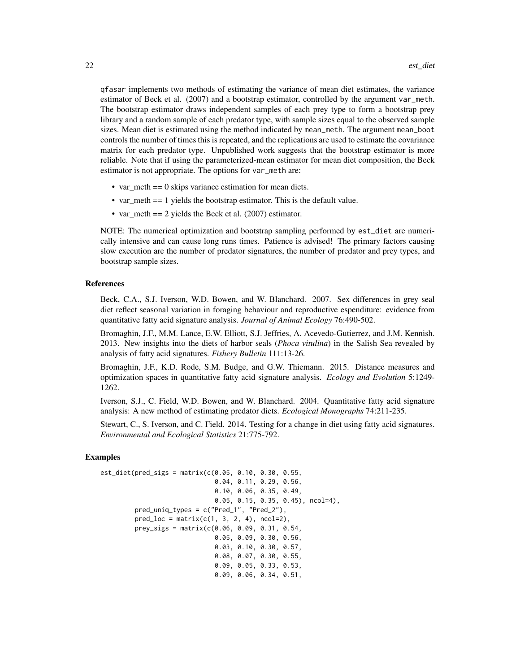qfasar implements two methods of estimating the variance of mean diet estimates, the variance estimator of Beck et al. (2007) and a bootstrap estimator, controlled by the argument var\_meth. The bootstrap estimator draws independent samples of each prey type to form a bootstrap prey library and a random sample of each predator type, with sample sizes equal to the observed sample sizes. Mean diet is estimated using the method indicated by mean\_meth. The argument mean\_boot controls the number of times this is repeated, and the replications are used to estimate the covariance matrix for each predator type. Unpublished work suggests that the bootstrap estimator is more reliable. Note that if using the parameterized-mean estimator for mean diet composition, the Beck estimator is not appropriate. The options for var\_meth are:

- var\_meth == 0 skips variance estimation for mean diets.
- var\_meth = 1 yields the bootstrap estimator. This is the default value.
- var\_meth = 2 yields the Beck et al. (2007) estimator.

NOTE: The numerical optimization and bootstrap sampling performed by est\_diet are numerically intensive and can cause long runs times. Patience is advised! The primary factors causing slow execution are the number of predator signatures, the number of predator and prey types, and bootstrap sample sizes.

#### References

Beck, C.A., S.J. Iverson, W.D. Bowen, and W. Blanchard. 2007. Sex differences in grey seal diet reflect seasonal variation in foraging behaviour and reproductive espenditure: evidence from quantitative fatty acid signature analysis. *Journal of Animal Ecology* 76:490-502.

Bromaghin, J.F., M.M. Lance, E.W. Elliott, S.J. Jeffries, A. Acevedo-Gutierrez, and J.M. Kennish. 2013. New insights into the diets of harbor seals (*Phoca vitulina*) in the Salish Sea revealed by analysis of fatty acid signatures. *Fishery Bulletin* 111:13-26.

Bromaghin, J.F., K.D. Rode, S.M. Budge, and G.W. Thiemann. 2015. Distance measures and optimization spaces in quantitative fatty acid signature analysis. *Ecology and Evolution* 5:1249- 1262.

Iverson, S.J., C. Field, W.D. Bowen, and W. Blanchard. 2004. Quantitative fatty acid signature analysis: A new method of estimating predator diets. *Ecological Monographs* 74:211-235.

Stewart, C., S. Iverson, and C. Field. 2014. Testing for a change in diet using fatty acid signatures. *Environmental and Ecological Statistics* 21:775-792.

```
est\_dict(pred\_sign = matrix(c(0.05, 0.10, 0.30, 0.55,0.04, 0.11, 0.29, 0.56,
                              0.10, 0.06, 0.35, 0.49,
                              0.05, 0.15, 0.35, 0.45), ncol=4),
        pred_uniq_types = c("Pred_1", "Pred_2"),
        pred\_loc = matrix(c(1, 3, 2, 4), ncol=2),prey_sigs = matrix(c(0.06, 0.09, 0.31, 0.54,
                              0.05, 0.09, 0.30, 0.56,
                              0.03, 0.10, 0.30, 0.57,
                              0.08, 0.07, 0.30, 0.55,
                              0.09, 0.05, 0.33, 0.53,
                              0.09, 0.06, 0.34, 0.51,
```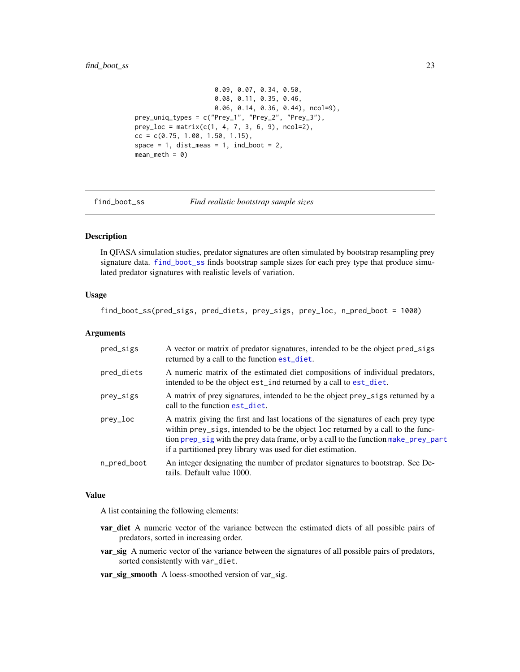#### <span id="page-22-0"></span>find\_boot\_ss 23

```
0.09, 0.07, 0.34, 0.50,
                     0.08, 0.11, 0.35, 0.46,
                     0.06, 0.14, 0.36, 0.44), ncol=9),
prey_uniq_types = c("Prey_1", "Prey_2", "Prey_3"),
prey\_loc = matrix(c(1, 4, 7, 3, 6, 9), ncol=2),cc = c(0.75, 1.00, 1.50, 1.15),
space = 1, dist_meas = 1, ind_boot = 2,
mean_meth = 0
```
<span id="page-22-1"></span>find\_boot\_ss *Find realistic bootstrap sample sizes*

#### Description

In QFASA simulation studies, predator signatures are often simulated by bootstrap resampling prey signature data. [find\\_boot\\_ss](#page-22-1) finds bootstrap sample sizes for each prey type that produce simulated predator signatures with realistic levels of variation.

#### Usage

find\_boot\_ss(pred\_sigs, pred\_diets, prey\_sigs, prey\_loc, n\_pred\_boot = 1000)

#### Arguments

| pred_sigs   | A vector or matrix of predator signatures, intended to be the object pred_sigs<br>returned by a call to the function est_diet.                                                                                                                                                                                            |
|-------------|---------------------------------------------------------------------------------------------------------------------------------------------------------------------------------------------------------------------------------------------------------------------------------------------------------------------------|
| pred_diets  | A numeric matrix of the estimated diet compositions of individual predators,<br>intended to be the object est_ind returned by a call to est_diet.                                                                                                                                                                         |
| prey_sigs   | A matrix of prey signatures, intended to be the object prey_sigs returned by a<br>call to the function est diet.                                                                                                                                                                                                          |
| prey_loc    | A matrix giving the first and last locations of the signatures of each prey type<br>within prey_sigs, intended to be the object loc returned by a call to the func-<br>tion prep_sig with the prey data frame, or by a call to the function make_prey_part<br>if a partitioned prey library was used for diet estimation. |
| n_pred_boot | An integer designating the number of predator signatures to bootstrap. See De-<br>tails. Default value 1000.                                                                                                                                                                                                              |

#### Value

A list containing the following elements:

- **var\_diet** A numeric vector of the variance between the estimated diets of all possible pairs of predators, sorted in increasing order.
- var\_sig A numeric vector of the variance between the signatures of all possible pairs of predators, sorted consistently with var\_diet.
- var\_sig\_smooth A loess-smoothed version of var\_sig.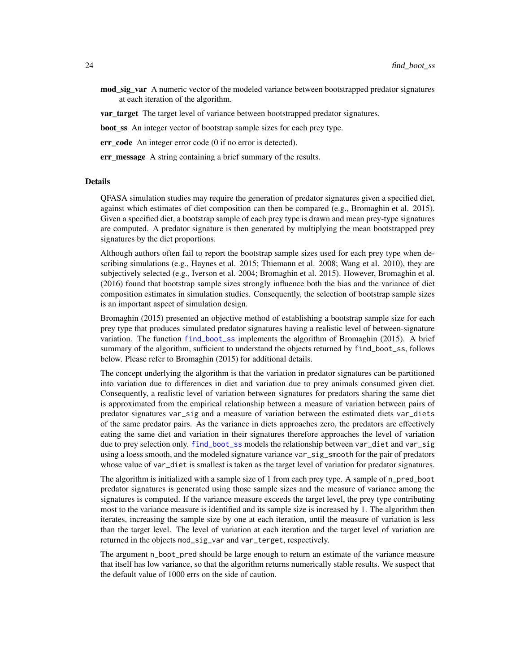<span id="page-23-0"></span>mod\_sig\_var A numeric vector of the modeled variance between bootstrapped predator signatures at each iteration of the algorithm.

**var target** The target level of variance between bootstrapped predator signatures.

boot\_ss An integer vector of bootstrap sample sizes for each prey type.

err\_code An integer error code (0 if no error is detected).

err\_message A string containing a brief summary of the results.

#### Details

QFASA simulation studies may require the generation of predator signatures given a specified diet, against which estimates of diet composition can then be compared (e.g., Bromaghin et al. 2015). Given a specified diet, a bootstrap sample of each prey type is drawn and mean prey-type signatures are computed. A predator signature is then generated by multiplying the mean bootstrapped prey signatures by the diet proportions.

Although authors often fail to report the bootstrap sample sizes used for each prey type when describing simulations (e.g., Haynes et al. 2015; Thiemann et al. 2008; Wang et al. 2010), they are subjectively selected (e.g., Iverson et al. 2004; Bromaghin et al. 2015). However, Bromaghin et al. (2016) found that bootstrap sample sizes strongly influence both the bias and the variance of diet composition estimates in simulation studies. Consequently, the selection of bootstrap sample sizes is an important aspect of simulation design.

Bromaghin (2015) presented an objective method of establishing a bootstrap sample size for each prey type that produces simulated predator signatures having a realistic level of between-signature variation. The function [find\\_boot\\_ss](#page-22-1) implements the algorithm of Bromaghin (2015). A brief summary of the algorithm, sufficient to understand the objects returned by find\_boot\_ss, follows below. Please refer to Bromaghin (2015) for additional details.

The concept underlying the algorithm is that the variation in predator signatures can be partitioned into variation due to differences in diet and variation due to prey animals consumed given diet. Consequently, a realistic level of variation between signatures for predators sharing the same diet is approximated from the empirical relationship between a measure of variation between pairs of predator signatures var\_sig and a measure of variation between the estimated diets var\_diets of the same predator pairs. As the variance in diets approaches zero, the predators are effectively eating the same diet and variation in their signatures therefore approaches the level of variation due to prey selection only. [find\\_boot\\_ss](#page-22-1) models the relationship between var\_diet and var\_sig using a loess smooth, and the modeled signature variance var\_sig\_smooth for the pair of predators whose value of var\_diet is smallest is taken as the target level of variation for predator signatures.

The algorithm is initialized with a sample size of 1 from each prey type. A sample of n\_pred\_boot predator signatures is generated using those sample sizes and the measure of variance among the signatures is computed. If the variance measure exceeds the target level, the prey type contributing most to the variance measure is identified and its sample size is increased by 1. The algorithm then iterates, increasing the sample size by one at each iteration, until the measure of variation is less than the target level. The level of variation at each iteration and the target level of variation are returned in the objects mod\_sig\_var and var\_terget, respectively.

The argument n\_boot\_pred should be large enough to return an estimate of the variance measure that itself has low variance, so that the algorithm returns numerically stable results. We suspect that the default value of 1000 errs on the side of caution.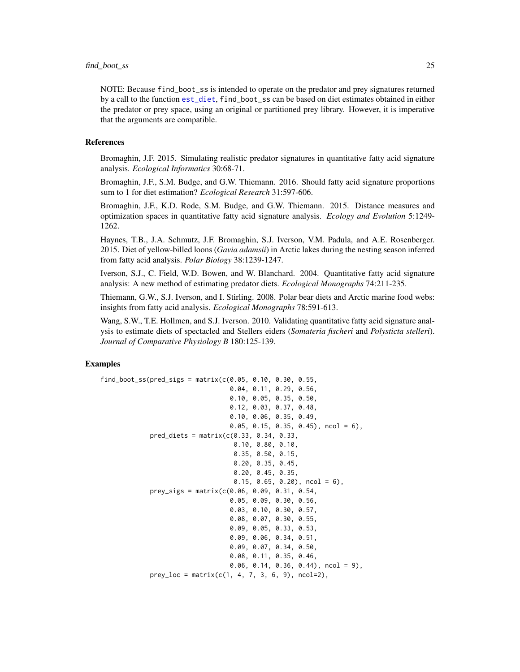<span id="page-24-0"></span>NOTE: Because find\_boot\_ss is intended to operate on the predator and prey signatures returned by a call to the function [est\\_diet](#page-17-1), find\_boot\_ss can be based on diet estimates obtained in either the predator or prey space, using an original or partitioned prey library. However, it is imperative that the arguments are compatible.

#### References

Bromaghin, J.F. 2015. Simulating realistic predator signatures in quantitative fatty acid signature analysis. *Ecological Informatics* 30:68-71.

Bromaghin, J.F., S.M. Budge, and G.W. Thiemann. 2016. Should fatty acid signature proportions sum to 1 for diet estimation? *Ecological Research* 31:597-606.

Bromaghin, J.F., K.D. Rode, S.M. Budge, and G.W. Thiemann. 2015. Distance measures and optimization spaces in quantitative fatty acid signature analysis. *Ecology and Evolution* 5:1249- 1262.

Haynes, T.B., J.A. Schmutz, J.F. Bromaghin, S.J. Iverson, V.M. Padula, and A.E. Rosenberger. 2015. Diet of yellow-billed loons (*Gavia adamsii*) in Arctic lakes during the nesting season inferred from fatty acid analysis. *Polar Biology* 38:1239-1247.

Iverson, S.J., C. Field, W.D. Bowen, and W. Blanchard. 2004. Quantitative fatty acid signature analysis: A new method of estimating predator diets. *Ecological Monographs* 74:211-235.

Thiemann, G.W., S.J. Iverson, and I. Stirling. 2008. Polar bear diets and Arctic marine food webs: insights from fatty acid analysis. *Ecological Monographs* 78:591-613.

Wang, S.W., T.E. Hollmen, and S.J. Iverson. 2010. Validating quantitative fatty acid signature analysis to estimate diets of spectacled and Stellers eiders (*Somateria fischeri* and *Polysticta stelleri*). *Journal of Comparative Physiology B* 180:125-139.

```
find\_boot\_ss(pred\_sign = matrix(c(0.05, 0.10, 0.30, 0.55,0.04, 0.11, 0.29, 0.56,
                                   0.10, 0.05, 0.35, 0.50,
                                   0.12, 0.03, 0.37, 0.48,
                                  0.10, 0.06, 0.35, 0.49,
                                   0.05, 0.15, 0.35, 0.45), ncol = 6),
             pred\_diets = matrix(c(0.33, 0.34, 0.33,0.10, 0.80, 0.10,
                                    0.35, 0.50, 0.15,
                                    0.20, 0.35, 0.45,
                                    0.20, 0.45, 0.35,
                                    0.15, 0.65, 0.20, ncol = 6),
             prey_sigs = matrix(c(0.06, 0.09, 0.31, 0.54,
                                  0.05, 0.09, 0.30, 0.56,
                                   0.03, 0.10, 0.30, 0.57,
                                   0.08, 0.07, 0.30, 0.55,
                                   0.09, 0.05, 0.33, 0.53,
                                  0.09, 0.06, 0.34, 0.51,
                                  0.09, 0.07, 0.34, 0.50,
                                   0.08, 0.11, 0.35, 0.46,
                                  0.06, 0.14, 0.36, 0.44), ncol = 9),
             prey_loc = matrix(c(1, 4, 7, 3, 6, 9), ncol=2),
```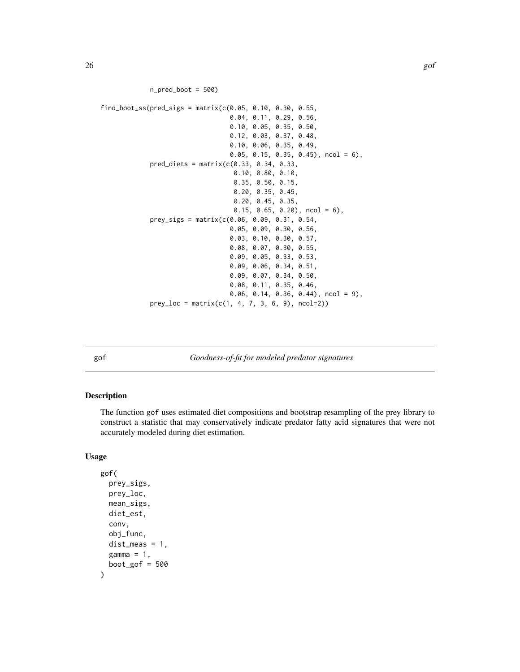```
n pred_boot = 500)
```

```
find\_boot\_ss(pred\_sign = matrix(c(0.05, 0.10, 0.30, 0.55,0.04, 0.11, 0.29, 0.56,
                                  0.10, 0.05, 0.35, 0.50,
                                  0.12, 0.03, 0.37, 0.48,
                                  0.10, 0.06, 0.35, 0.49,
                                  0.05, 0.15, 0.35, 0.45), ncol = 6),
             pred\_diets = matrix(c(0.33, 0.34, 0.33,0.10, 0.80, 0.10,
                                   0.35, 0.50, 0.15,
                                   0.20, 0.35, 0.45,
                                   0.20, 0.45, 0.35,
                                   0.15, 0.65, 0.20, ncol = 6),
             prey_sigs = matrix(c(0.06, 0.09, 0.31, 0.54,
                                  0.05, 0.09, 0.30, 0.56,
                                  0.03, 0.10, 0.30, 0.57,
                                  0.08, 0.07, 0.30, 0.55,
                                  0.09, 0.05, 0.33, 0.53,
                                  0.09, 0.06, 0.34, 0.51,
                                  0.09, 0.07, 0.34, 0.50,
                                  0.08, 0.11, 0.35, 0.46,
                                  0.06, 0.14, 0.36, 0.44), ncol = 9),
             prey\_loc = matrix(c(1, 4, 7, 3, 6, 9), ncol=2))
```
gof *Goodness-of-fit for modeled predator signatures*

#### Description

The function gof uses estimated diet compositions and bootstrap resampling of the prey library to construct a statistic that may conservatively indicate predator fatty acid signatures that were not accurately modeled during diet estimation.

#### Usage

```
gof(
  prey_sigs,
  prey_loc,
  mean_sigs,
  diet_est,
  conv,
  obj_func,
  dist_meas = 1,
  gamma = 1,
  boot_gof = 500)
```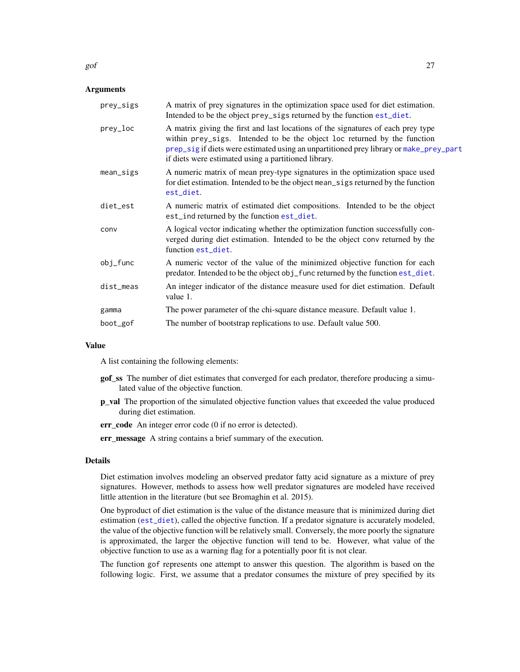<span id="page-26-0"></span>

#### **Arguments**

| prey_sigs   | A matrix of prey signatures in the optimization space used for diet estimation.<br>Intended to be the object prey_sigs returned by the function est_diet.                                                                                                                                                      |
|-------------|----------------------------------------------------------------------------------------------------------------------------------------------------------------------------------------------------------------------------------------------------------------------------------------------------------------|
| prey_loc    | A matrix giving the first and last locations of the signatures of each prey type<br>within prey_sigs. Intended to be the object loc returned by the function<br>prep_sig if diets were estimated using an unpartitioned prey library or make_prey_part<br>if diets were estimated using a partitioned library. |
| mean_sigs   | A numeric matrix of mean prey-type signatures in the optimization space used<br>for diet estimation. Intended to be the object mean_sigs returned by the function<br>est_diet.                                                                                                                                 |
| diet_est    | A numeric matrix of estimated diet compositions. Intended to be the object<br>est_ind returned by the function est_diet.                                                                                                                                                                                       |
| conv        | A logical vector indicating whether the optimization function successfully con-<br>verged during diet estimation. Intended to be the object conv returned by the<br>function est_diet.                                                                                                                         |
| $obj_f$ unc | A numeric vector of the value of the minimized objective function for each<br>predator. Intended to be the object obj_func returned by the function est_diet.                                                                                                                                                  |
| dist_meas   | An integer indicator of the distance measure used for diet estimation. Default<br>value 1.                                                                                                                                                                                                                     |
| gamma       | The power parameter of the chi-square distance measure. Default value 1.                                                                                                                                                                                                                                       |
| boot_gof    | The number of bootstrap replications to use. Default value 500.                                                                                                                                                                                                                                                |
|             |                                                                                                                                                                                                                                                                                                                |

#### Value

A list containing the following elements:

- gof\_ss The number of diet estimates that converged for each predator, therefore producing a simulated value of the objective function.
- p\_val The proportion of the simulated objective function values that exceeded the value produced during diet estimation.
- err\_code An integer error code (0 if no error is detected).
- err\_message A string contains a brief summary of the execution.

#### Details

Diet estimation involves modeling an observed predator fatty acid signature as a mixture of prey signatures. However, methods to assess how well predator signatures are modeled have received little attention in the literature (but see Bromaghin et al. 2015).

One byproduct of diet estimation is the value of the distance measure that is minimized during diet estimation ([est\\_diet](#page-17-1)), called the objective function. If a predator signature is accurately modeled, the value of the objective function will be relatively small. Conversely, the more poorly the signature is approximated, the larger the objective function will tend to be. However, what value of the objective function to use as a warning flag for a potentially poor fit is not clear.

The function gof represents one attempt to answer this question. The algorithm is based on the following logic. First, we assume that a predator consumes the mixture of prey specified by its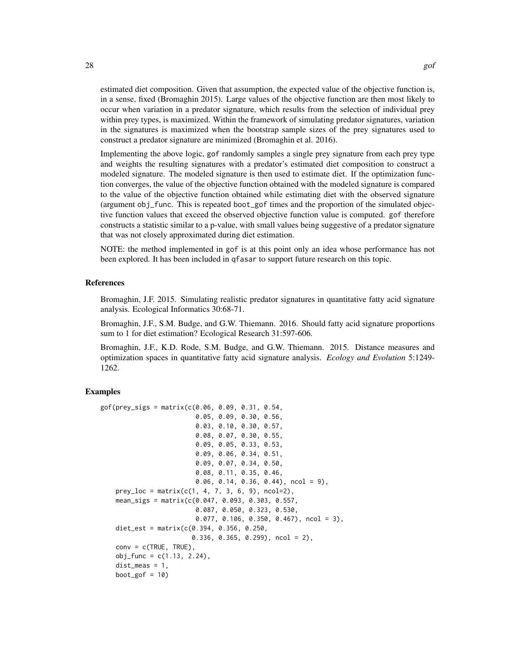estimated diet composition. Given that assumption, the expected value of the objective function is, in a sense, fixed (Bromaghin 2015). Large values of the objective function are then most likely to occur when variation in a predator signature, which results from the selection of individual prey within prey types, is maximized. Within the framework of simulating predator signatures, variation in the signatures is maximized when the bootstrap sample sizes of the prey signatures used to construct a predator signature are minimized (Bromaghin et al. 2016).

Implementing the above logic, gof randomly samples a single prey signature from each prey type and weights the resulting signatures with a predator's estimated diet composition to construct a modeled signature. The modeled signature is then used to estimate diet. If the optimization function converges, the value of the objective function obtained with the modeled signature is compared to the value of the objective function obtained while estimating diet with the observed signature (argument obj\_func. This is repeated boot\_gof times and the proportion of the simulated objective function values that exceed the observed objective function value is computed. gof therefore constructs a statistic similar to a p-value, with small values being suggestive of a predator signature that was not closely approximated during diet estimation.

NOTE: the method implemented in gof is at this point only an idea whose performance has not been explored. It has been included in qfasar to support future research on this topic.

#### References

Bromaghin, J.F. 2015. Simulating realistic predator signatures in quantitative fatty acid signature analysis. Ecological Informatics 30:68-71.

Bromaghin, J.F., S.M. Budge, and G.W. Thiemann. 2016. Should fatty acid signature proportions sum to 1 for diet estimation? Ecological Research 31:597-606.

Bromaghin, J.F., K.D. Rode, S.M. Budge, and G.W. Thiemann. 2015. Distance measures and optimization spaces in quantitative fatty acid signature analysis. *Ecology and Evolution* 5:1249- 1262.

```
gof(prey_sigs = matrix(c(0.06, 0.09, 0.31, 0.54,
                         0.05, 0.09, 0.30, 0.56,
                         0.03, 0.10, 0.30, 0.57,
                         0.08, 0.07, 0.30, 0.55,
                         0.09, 0.05, 0.33, 0.53,
                         0.09, 0.06, 0.34, 0.51,
                         0.09, 0.07, 0.34, 0.50,
                         0.08, 0.11, 0.35, 0.46,
                         0.06, 0.14, 0.36, 0.44, ncol = 9),
    prey\_loc = matrix(c(1, 4, 7, 3, 6, 9), ncol=2),mean_sigs = matrix(c(0.047, 0.093, 0.303, 0.557,
                         0.087, 0.050, 0.323, 0.530,
                         0.077, 0.106, 0.350, 0.467), ncol = 3),
    diet_est = matrix(c(0.394, 0.356, 0.250,
                        0.336, 0.365, 0.299, ncol = 2,
    conv = c(TRUE, TRUE),obj_func = c(1.13, 2.24),
    dist_meas = 1,
   boot_gof = 10)
```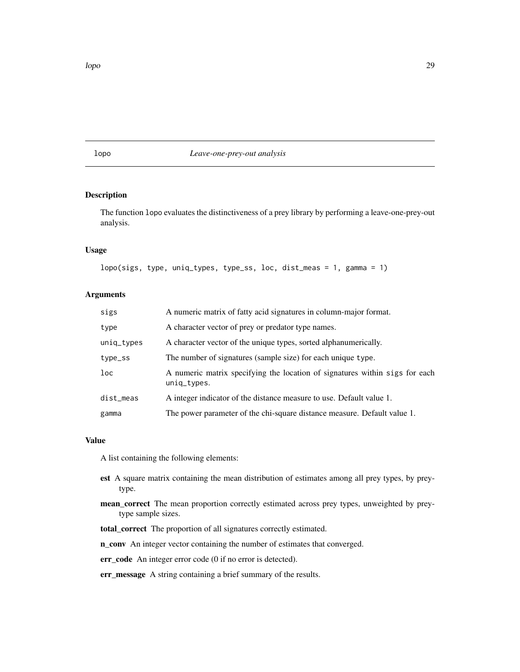<span id="page-28-1"></span><span id="page-28-0"></span>lopo *Leave-one-prey-out analysis*

#### Description

The function lopo evaluates the distinctiveness of a prey library by performing a leave-one-prey-out analysis.

#### Usage

```
lopo(sigs, type, uniq_types, type_ss, loc, dist_meas = 1, gamma = 1)
```
#### Arguments

| sigs       | A numeric matrix of fatty acid signatures in column-major format.                          |
|------------|--------------------------------------------------------------------------------------------|
| type       | A character vector of prey or predator type names.                                         |
| uniq_types | A character vector of the unique types, sorted alphanumerically.                           |
| type_ss    | The number of signatures (sample size) for each unique type.                               |
| $1$ oc     | A numeric matrix specifying the location of signatures within sigs for each<br>uniq_types. |
| dist_meas  | A integer indicator of the distance measure to use. Default value 1.                       |
| gamma      | The power parameter of the chi-square distance measure. Default value 1.                   |

#### Value

A list containing the following elements:

- est A square matrix containing the mean distribution of estimates among all prey types, by preytype.
- mean\_correct The mean proportion correctly estimated across prey types, unweighted by preytype sample sizes.
- total\_correct The proportion of all signatures correctly estimated.

n\_conv An integer vector containing the number of estimates that converged.

err\_code An integer error code (0 if no error is detected).

err\_message A string containing a brief summary of the results.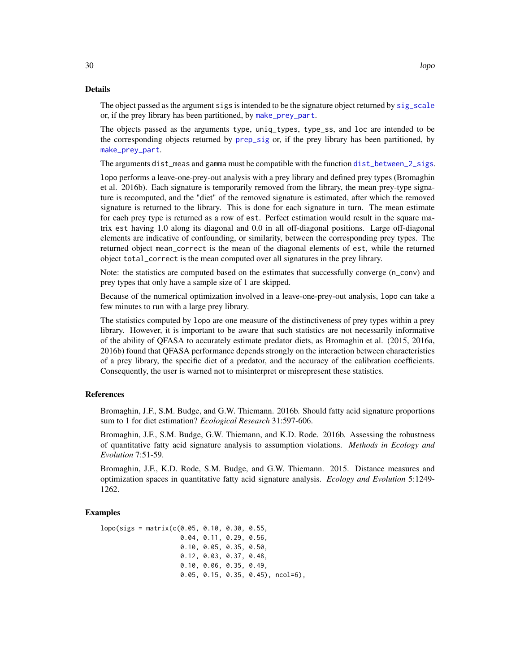#### <span id="page-29-0"></span>Details

The object passed as the argument sigs is intended to be the signature object returned by [sig\\_scale](#page-48-1) or, if the prey library has been partitioned, by [make\\_prey\\_part](#page-38-1).

The objects passed as the arguments type, uniq\_types, type\_ss, and loc are intended to be the corresponding objects returned by [prep\\_sig](#page-44-1) or, if the prey library has been partitioned, by [make\\_prey\\_part](#page-38-1).

The arguments dist\_meas and gamma must be compatible with the function [dist\\_between\\_2\\_sigs](#page-14-1).

lopo performs a leave-one-prey-out analysis with a prey library and defined prey types (Bromaghin et al. 2016b). Each signature is temporarily removed from the library, the mean prey-type signature is recomputed, and the "diet" of the removed signature is estimated, after which the removed signature is returned to the library. This is done for each signature in turn. The mean estimate for each prey type is returned as a row of est. Perfect estimation would result in the square matrix est having 1.0 along its diagonal and 0.0 in all off-diagonal positions. Large off-diagonal elements are indicative of confounding, or similarity, between the corresponding prey types. The returned object mean\_correct is the mean of the diagonal elements of est, while the returned object total\_correct is the mean computed over all signatures in the prey library.

Note: the statistics are computed based on the estimates that successfully converge (n\_conv) and prey types that only have a sample size of 1 are skipped.

Because of the numerical optimization involved in a leave-one-prey-out analysis, lopo can take a few minutes to run with a large prey library.

The statistics computed by lopo are one measure of the distinctiveness of prey types within a prey library. However, it is important to be aware that such statistics are not necessarily informative of the ability of QFASA to accurately estimate predator diets, as Bromaghin et al. (2015, 2016a, 2016b) found that QFASA performance depends strongly on the interaction between characteristics of a prey library, the specific diet of a predator, and the accuracy of the calibration coefficients. Consequently, the user is warned not to misinterpret or misrepresent these statistics.

#### References

Bromaghin, J.F., S.M. Budge, and G.W. Thiemann. 2016b. Should fatty acid signature proportions sum to 1 for diet estimation? *Ecological Research* 31:597-606.

Bromaghin, J.F., S.M. Budge, G.W. Thiemann, and K.D. Rode. 2016b. Assessing the robustness of quantitative fatty acid signature analysis to assumption violations. *Methods in Ecology and Evolution* 7:51-59.

Bromaghin, J.F., K.D. Rode, S.M. Budge, and G.W. Thiemann. 2015. Distance measures and optimization spaces in quantitative fatty acid signature analysis. *Ecology and Evolution* 5:1249- 1262.

```
lopo(sigs = matrix(c(0.05, 0.10, 0.30, 0.55,
                     0.04, 0.11, 0.29, 0.56,
                     0.10, 0.05, 0.35, 0.50,
                     0.12, 0.03, 0.37, 0.48,
                     0.10, 0.06, 0.35, 0.49,
                     0.05, 0.15, 0.35, 0.45), ncol=6),
```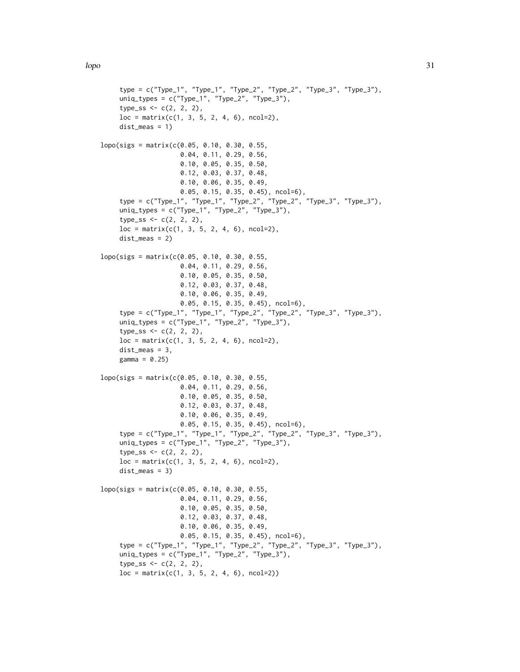```
type = c("Type_1", "Type_1", "Type_2", "Type_2", "Type_3", "Type_3"),
     uniq_types = c("Type_1", "Type_2", "Type_3"),type\_ss < -c(2, 2, 2),loc = matrix(c(1, 3, 5, 2, 4, 6), ncol=2),dist_meas = 1)
lopo(sigs = matrix(c(0.05, 0.10, 0.30, 0.55,
                     0.04, 0.11, 0.29, 0.56,
                     0.10, 0.05, 0.35, 0.50,
                     0.12, 0.03, 0.37, 0.48,
                     0.10, 0.06, 0.35, 0.49,
                     0.05, 0.15, 0.35, 0.45), ncol=6),
     type = c("Type_1", "Type_1", "Type_2", "Type_2", "Type_3", "Type_3"),
     uniq_types = c("Type_1", "Type_2", "Type_3"),
     type\_ss \leq c(2, 2, 2),
     loc = matrix(c(1, 3, 5, 2, 4, 6), ncol=2),dist_meas = 2)
lopo(sigs = matrix(c(0.05, 0.10, 0.30, 0.55,
                     0.04, 0.11, 0.29, 0.56,
                     0.10, 0.05, 0.35, 0.50,
                     0.12, 0.03, 0.37, 0.48,
                     0.10, 0.06, 0.35, 0.49,
                     0.05, 0.15, 0.35, 0.45), ncol=6),
     type = c("Type_1", "Type_1", "Type_2", "Type_2", "Type_3", "Type_3"),
     uniq_types = c("Type_1", "Type_2", "Type_3"),
     type\_ss \leq c(2, 2, 2),
     loc = matrix(c(1, 3, 5, 2, 4, 6), ncol=2),dist_meas = 3,
     gamma = 0.25)
lopo(sigs = matrix(c(0.05, 0.10, 0.30, 0.55,0.04, 0.11, 0.29, 0.56,
                     0.10, 0.05, 0.35, 0.50,
                     0.12, 0.03, 0.37, 0.48,
                     0.10, 0.06, 0.35, 0.49,
                     0.05, 0.15, 0.35, 0.45), ncol=6),
     type = c("Type_1", "Type_1", "Type_2", "Type_2", "Type_3", "Type_3"),
     uniq_types = c("Type_1", "Type_2", "Type_3"),
     type\_ss \leq c(2, 2, 2),
     loc = matrix(c(1, 3, 5, 2, 4, 6), ncol=2),dist_meas = 3)
lopo(sigs = matrix(c(0.05, 0.10, 0.30, 0.55,
                     0.04, 0.11, 0.29, 0.56,
                     0.10, 0.05, 0.35, 0.50,
                     0.12, 0.03, 0.37, 0.48,
                     0.10, 0.06, 0.35, 0.49,
                     0.05, 0.15, 0.35, 0.45), ncol=6),
     type = c("Type_1", "Type_1", "Type_2", "Type_2", "Type_3", "Type_3"),
     uniq_types = c("Type_1", "Type_2", "Type_3"),type\_ss < -c(2, 2, 2),loc = matrix(c(1, 3, 5, 2, 4, 6), ncol=2))
```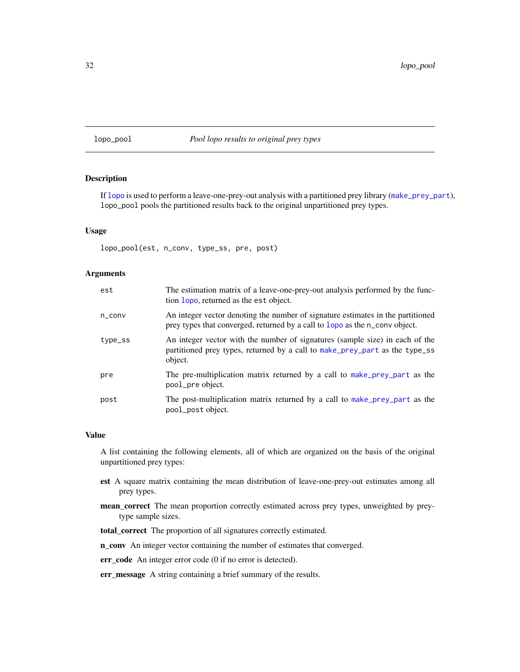#### <span id="page-31-0"></span>lopo\_pool *Pool lopo results to original prey types*

#### Description

If [lopo](#page-28-1) is used to perform a leave-one-prey-out analysis with a partitioned prey library ([make\\_prey\\_part](#page-38-1)), lopo\_pool pools the partitioned results back to the original unpartitioned prey types.

#### Usage

lopo\_pool(est, n\_conv, type\_ss, pre, post)

#### Arguments

| est                 | The estimation matrix of a leave-one-prey-out analysis performed by the func-<br>tion lopo, returned as the est object.                                                |
|---------------------|------------------------------------------------------------------------------------------------------------------------------------------------------------------------|
| $n_{\text{-}}$ conv | An integer vector denoting the number of signature estimates in the partitioned<br>prey types that converged, returned by a call to lopo as the n_conv object.         |
| type_ss             | An integer vector with the number of signatures (sample size) in each of the<br>partitioned prey types, returned by a call to make_prey_part as the type_ss<br>object. |
| pre                 | The pre-multiplication matrix returned by a call to make prey part as the<br>pool_pre object.                                                                          |
| post                | The post-multiplication matrix returned by a call to make prey part as the<br>pool_post object.                                                                        |

#### Value

A list containing the following elements, all of which are organized on the basis of the original unpartitioned prey types:

- est A square matrix containing the mean distribution of leave-one-prey-out estimates among all prey types.
- mean\_correct The mean proportion correctly estimated across prey types, unweighted by preytype sample sizes.

total\_correct The proportion of all signatures correctly estimated.

n\_conv An integer vector containing the number of estimates that converged.

err\_code An integer error code (0 if no error is detected).

err\_message A string containing a brief summary of the results.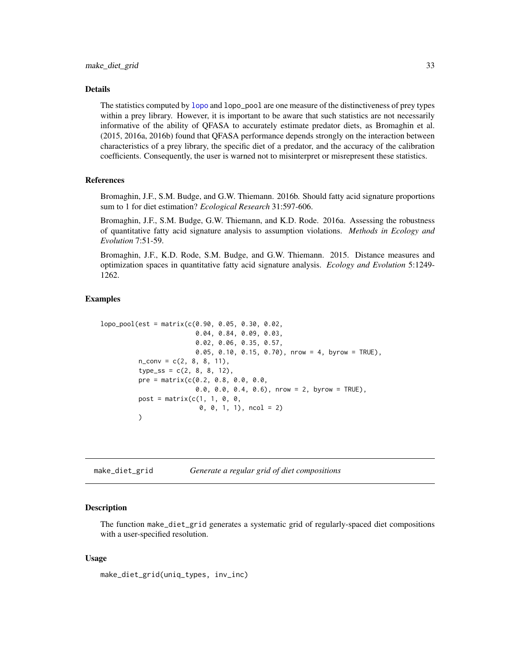#### <span id="page-32-0"></span>Details

The statistics computed by [lopo](#page-28-1) and lopo\_pool are one measure of the distinctiveness of prey types within a prey library. However, it is important to be aware that such statistics are not necessarily informative of the ability of QFASA to accurately estimate predator diets, as Bromaghin et al. (2015, 2016a, 2016b) found that QFASA performance depends strongly on the interaction between characteristics of a prey library, the specific diet of a predator, and the accuracy of the calibration coefficients. Consequently, the user is warned not to misinterpret or misrepresent these statistics.

#### References

Bromaghin, J.F., S.M. Budge, and G.W. Thiemann. 2016b. Should fatty acid signature proportions sum to 1 for diet estimation? *Ecological Research* 31:597-606.

Bromaghin, J.F., S.M. Budge, G.W. Thiemann, and K.D. Rode. 2016a. Assessing the robustness of quantitative fatty acid signature analysis to assumption violations. *Methods in Ecology and Evolution* 7:51-59.

Bromaghin, J.F., K.D. Rode, S.M. Budge, and G.W. Thiemann. 2015. Distance measures and optimization spaces in quantitative fatty acid signature analysis. *Ecology and Evolution* 5:1249- 1262.

#### Examples

```
lopo\_pool(est = matrix(c(0.90, 0.05, 0.30, 0.02,0.04, 0.84, 0.09, 0.03,
                         0.02, 0.06, 0.35, 0.57,
                         0.05, 0.10, 0.15, 0.70), nrow = 4, byrow = TRUE),
          n_{conv} = c(2, 8, 8, 11),type\_ss = c(2, 8, 8, 12),
          pre = matrix(c(0.2, 0.8, 0.0, 0.0,
                          0.0, 0.0, 0.4, 0.6), nrow = 2, byrow = TRUE),
          post = matrix(c(1, 1, 0, 0,0, 0, 1, 1), ncol = 2)
          \lambda
```
make\_diet\_grid *Generate a regular grid of diet compositions*

#### Description

The function make\_diet\_grid generates a systematic grid of regularly-spaced diet compositions with a user-specified resolution.

#### Usage

make\_diet\_grid(uniq\_types, inv\_inc)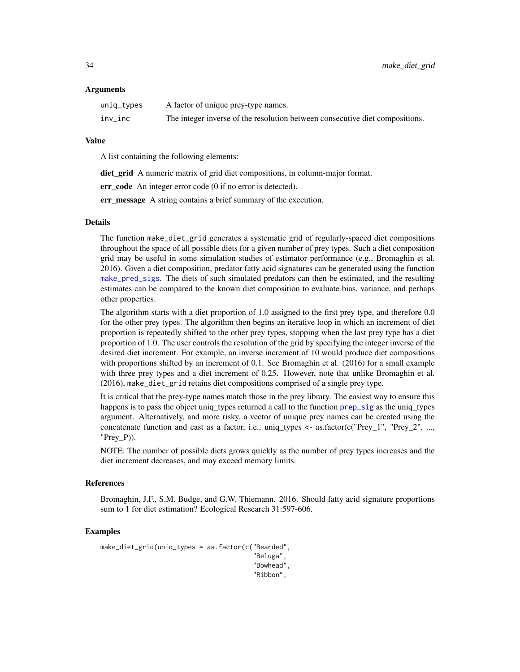#### <span id="page-33-0"></span>Arguments

| uniq_types | A factor of unique prey-type names.                                          |
|------------|------------------------------------------------------------------------------|
| inv_inc    | The integer inverse of the resolution between consecutive diet compositions. |

#### Value

A list containing the following elements:

diet\_grid A numeric matrix of grid diet compositions, in column-major format.

err code An integer error code (0 if no error is detected).

err message A string contains a brief summary of the execution.

#### Details

The function make\_diet\_grid generates a systematic grid of regularly-spaced diet compositions throughout the space of all possible diets for a given number of prey types. Such a diet composition grid may be useful in some simulation studies of estimator performance (e.g., Bromaghin et al. 2016). Given a diet composition, predator fatty acid signatures can be generated using the function [make\\_pred\\_sigs](#page-37-1). The diets of such simulated predators can then be estimated, and the resulting estimates can be compared to the known diet composition to evaluate bias, variance, and perhaps other properties.

The algorithm starts with a diet proportion of 1.0 assigned to the first prey type, and therefore 0.0 for the other prey types. The algorithm then begins an iterative loop in which an increment of diet proportion is repeatedly shifted to the other prey types, stopping when the last prey type has a diet proportion of 1.0. The user controls the resolution of the grid by specifying the integer inverse of the desired diet increment. For example, an inverse increment of 10 would produce diet compositions with proportions shifted by an increment of 0.1. See Bromaghin et al. (2016) for a small example with three prey types and a diet increment of 0.25. However, note that unlike Bromaghin et al. (2016), make\_diet\_grid retains diet compositions comprised of a single prey type.

It is critical that the prey-type names match those in the prey library. The easiest way to ensure this happens is to pass the object uniq\_types returned a call to the function [prep\\_sig](#page-44-1) as the uniq\_types argument. Alternatively, and more risky, a vector of unique prey names can be created using the concatenate function and cast as a factor, i.e., uniq\_types  $\lt$ - as.factor(c("Prey\_1", "Prey\_2", ..., "Prey $P$ ).

NOTE: The number of possible diets grows quickly as the number of prey types increases and the diet increment decreases, and may exceed memory limits.

#### References

Bromaghin, J.F., S.M. Budge, and G.W. Thiemann. 2016. Should fatty acid signature proportions sum to 1 for diet estimation? Ecological Research 31:597-606.

```
make_diet_grid(uniq_types = as.factor(c("Bearded",
                                          "Beluga",
                                          "Bowhead",
                                          "Ribbon",
```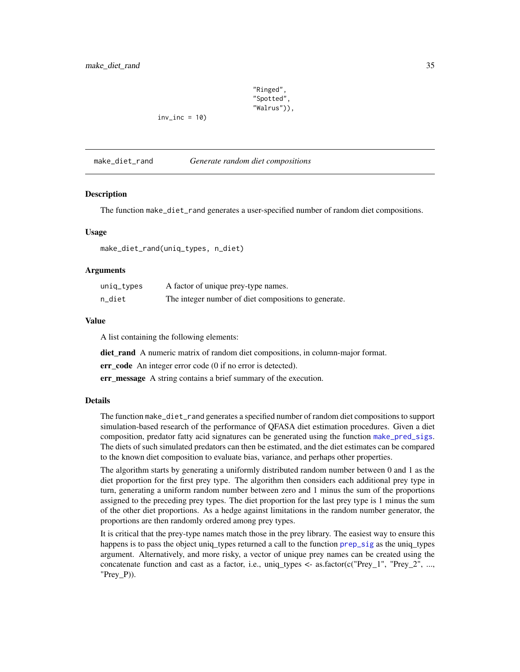"Ringed", "Spotted", "Walrus")),

<span id="page-34-0"></span> $inv\_inc = 10$ 

make\_diet\_rand *Generate random diet compositions*

#### Description

The function make\_diet\_rand generates a user-specified number of random diet compositions.

#### Usage

make\_diet\_rand(uniq\_types, n\_diet)

#### Arguments

| uniq_types | A factor of unique prey-type names.                  |
|------------|------------------------------------------------------|
| n_diet     | The integer number of diet compositions to generate. |

#### Value

A list containing the following elements:

diet\_rand A numeric matrix of random diet compositions, in column-major format.

err code An integer error code (0 if no error is detected).

err\_message A string contains a brief summary of the execution.

#### Details

The function make\_diet\_rand generates a specified number of random diet compositions to support simulation-based research of the performance of QFASA diet estimation procedures. Given a diet composition, predator fatty acid signatures can be generated using the function [make\\_pred\\_sigs](#page-37-1). The diets of such simulated predators can then be estimated, and the diet estimates can be compared to the known diet composition to evaluate bias, variance, and perhaps other properties.

The algorithm starts by generating a uniformly distributed random number between 0 and 1 as the diet proportion for the first prey type. The algorithm then considers each additional prey type in turn, generating a uniform random number between zero and 1 minus the sum of the proportions assigned to the preceding prey types. The diet proportion for the last prey type is 1 minus the sum of the other diet proportions. As a hedge against limitations in the random number generator, the proportions are then randomly ordered among prey types.

It is critical that the prey-type names match those in the prey library. The easiest way to ensure this happens is to pass the object uniq types returned a call to the function [prep\\_sig](#page-44-1) as the uniq types argument. Alternatively, and more risky, a vector of unique prey names can be created using the concatenate function and cast as a factor, i.e., uniq\_types <-  $as.factor(c("Prey_1", "Prey_2", ...,$ " $Prey_P$ )).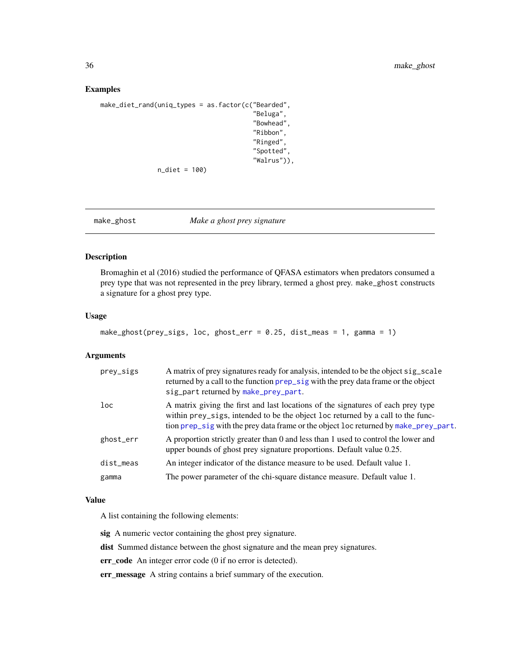#### <span id="page-35-0"></span>Examples

```
make_diet_rand(uniq_types = as.factor(c("Bearded",
                                         "Beluga",
                                         "Bowhead",
                                         "Ribbon",
                                         "Ringed",
                                         "Spotted",
                                          "Walrus")),
               n_diet = 100)
```
#### make\_ghost *Make a ghost prey signature*

#### Description

Bromaghin et al (2016) studied the performance of QFASA estimators when predators consumed a prey type that was not represented in the prey library, termed a ghost prey. make\_ghost constructs a signature for a ghost prey type.

#### Usage

```
make_ghost(prey_sigs, loc, ghost_err = 0.25, dist_meas = 1, gamma = 1)
```
#### Arguments

| prey_sigs | A matrix of prey signatures ready for analysis, intended to be the object sig_scale<br>returned by a call to the function prep_sig with the prey data frame or the object<br>sig_part returned by make_prey_part.                                           |
|-----------|-------------------------------------------------------------------------------------------------------------------------------------------------------------------------------------------------------------------------------------------------------------|
| loc       | A matrix giving the first and last locations of the signatures of each prey type<br>within prey_sigs, intended to be the object loc returned by a call to the func-<br>tion prep_sig with the prey data frame or the object loc returned by make_prey_part. |
| ghost_err | A proportion strictly greater than 0 and less than 1 used to control the lower and<br>upper bounds of ghost prey signature proportions. Default value 0.25.                                                                                                 |
| dist_meas | An integer indicator of the distance measure to be used. Default value 1.                                                                                                                                                                                   |
| gamma     | The power parameter of the chi-square distance measure. Default value 1.                                                                                                                                                                                    |

#### Value

A list containing the following elements:

sig A numeric vector containing the ghost prey signature.

dist Summed distance between the ghost signature and the mean prey signatures.

err\_code An integer error code (0 if no error is detected).

err\_message A string contains a brief summary of the execution.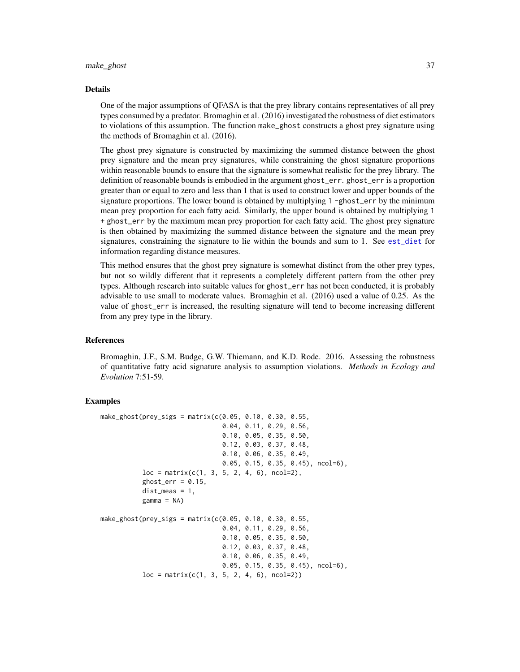#### <span id="page-36-0"></span>make\_ghost 37

#### Details

One of the major assumptions of QFASA is that the prey library contains representatives of all prey types consumed by a predator. Bromaghin et al. (2016) investigated the robustness of diet estimators to violations of this assumption. The function make\_ghost constructs a ghost prey signature using the methods of Bromaghin et al. (2016).

The ghost prey signature is constructed by maximizing the summed distance between the ghost prey signature and the mean prey signatures, while constraining the ghost signature proportions within reasonable bounds to ensure that the signature is somewhat realistic for the prey library. The definition of reasonable bounds is embodied in the argument ghost\_err. ghost\_err is a proportion greater than or equal to zero and less than 1 that is used to construct lower and upper bounds of the signature proportions. The lower bound is obtained by multiplying 1 -ghost\_err by the minimum mean prey proportion for each fatty acid. Similarly, the upper bound is obtained by multiplying 1 + ghost\_err by the maximum mean prey proportion for each fatty acid. The ghost prey signature is then obtained by maximizing the summed distance between the signature and the mean prey signatures, constraining the signature to lie within the bounds and sum to 1. See [est\\_diet](#page-17-1) for information regarding distance measures.

This method ensures that the ghost prey signature is somewhat distinct from the other prey types, but not so wildly different that it represents a completely different pattern from the other prey types. Although research into suitable values for ghost\_err has not been conducted, it is probably advisable to use small to moderate values. Bromaghin et al. (2016) used a value of 0.25. As the value of ghost\_err is increased, the resulting signature will tend to become increasing different from any prey type in the library.

#### References

Bromaghin, J.F., S.M. Budge, G.W. Thiemann, and K.D. Rode. 2016. Assessing the robustness of quantitative fatty acid signature analysis to assumption violations. *Methods in Ecology and Evolution* 7:51-59.

```
make_ghost(prey_sigs = matrix(c(0.05, 0.10, 0.30, 0.55,
                                0.04, 0.11, 0.29, 0.56,
                                0.10, 0.05, 0.35, 0.50,
                                0.12, 0.03, 0.37, 0.48,
                                0.10, 0.06, 0.35, 0.49,
                                0.05, 0.15, 0.35, 0.45), ncol=6),
           loc = matrix(c(1, 3, 5, 2, 4, 6), ncol=2),ghost_error = 0.15,
           dist_meas = 1,
           gamma = NA)
make_ghost(prey_sigs = matrix(c(0.05, 0.10, 0.30, 0.55,
                                0.04, 0.11, 0.29, 0.56,
                                0.10, 0.05, 0.35, 0.50,
                                0.12, 0.03, 0.37, 0.48,
                                0.10, 0.06, 0.35, 0.49,
                                0.05, 0.15, 0.35, 0.45), ncol=6),
           loc = matrix(c(1, 3, 5, 2, 4, 6), ncol=2))
```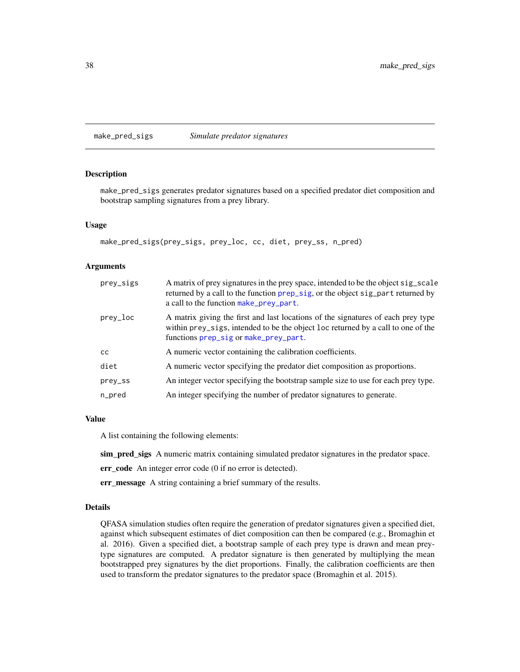<span id="page-37-1"></span><span id="page-37-0"></span>make\_pred\_sigs *Simulate predator signatures*

#### Description

make\_pred\_sigs generates predator signatures based on a specified predator diet composition and bootstrap sampling signatures from a prey library.

#### Usage

```
make_pred_sigs(prey_sigs, prey_loc, cc, diet, prey_ss, n_pred)
```
#### Arguments

| prey_sigs | A matrix of prey signatures in the prey space, intended to be the object sig_scale<br>returned by a call to the function prep_sig, or the object sig_part returned by<br>a call to the function make_prey_part. |
|-----------|-----------------------------------------------------------------------------------------------------------------------------------------------------------------------------------------------------------------|
| prey_loc  | A matrix giving the first and last locations of the signatures of each prey type<br>within prey_sigs, intended to be the object loc returned by a call to one of the<br>functions prep_sig or make_prey_part.   |
| cc        | A numeric vector containing the calibration coefficients.                                                                                                                                                       |
| diet      | A numeric vector specifying the predator diet composition as proportions.                                                                                                                                       |
| prey_ss   | An integer vector specifying the bootstrap sample size to use for each prey type.                                                                                                                               |
| n_pred    | An integer specifying the number of predator signatures to generate.                                                                                                                                            |

#### Value

A list containing the following elements:

sim\_pred\_sigs A numeric matrix containing simulated predator signatures in the predator space.

err\_code An integer error code (0 if no error is detected).

err\_message A string containing a brief summary of the results.

#### Details

QFASA simulation studies often require the generation of predator signatures given a specified diet, against which subsequent estimates of diet composition can then be compared (e.g., Bromaghin et al. 2016). Given a specified diet, a bootstrap sample of each prey type is drawn and mean preytype signatures are computed. A predator signature is then generated by multiplying the mean bootstrapped prey signatures by the diet proportions. Finally, the calibration coefficients are then used to transform the predator signatures to the predator space (Bromaghin et al. 2015).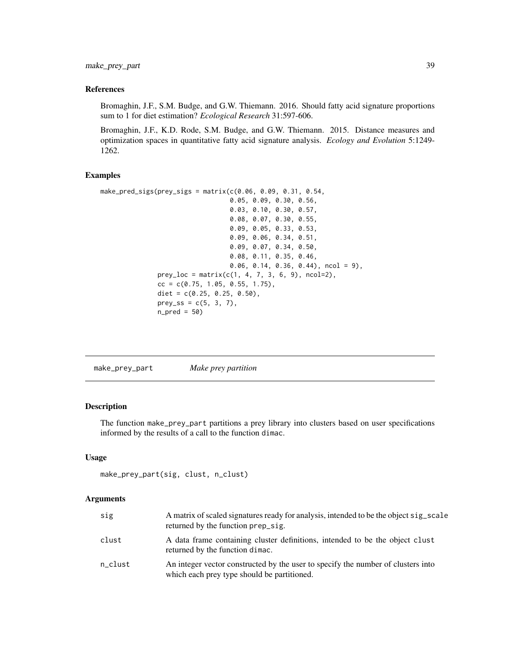<span id="page-38-0"></span>make\_prey\_part 39

#### References

Bromaghin, J.F., S.M. Budge, and G.W. Thiemann. 2016. Should fatty acid signature proportions sum to 1 for diet estimation? *Ecological Research* 31:597-606.

Bromaghin, J.F., K.D. Rode, S.M. Budge, and G.W. Thiemann. 2015. Distance measures and optimization spaces in quantitative fatty acid signature analysis. *Ecology and Evolution* 5:1249- 1262.

#### Examples

```
make_pred_sigs(prey_sigs = matrix(c(0.06, 0.09, 0.31, 0.54,
                                   0.05, 0.09, 0.30, 0.56,
                                   0.03, 0.10, 0.30, 0.57,
                                   0.08, 0.07, 0.30, 0.55,
                                   0.09, 0.05, 0.33, 0.53,
                                   0.09, 0.06, 0.34, 0.51,
                                   0.09, 0.07, 0.34, 0.50,
                                   0.08, 0.11, 0.35, 0.46,
                                   0.06, 0.14, 0.36, 0.44), ncol = 9),
               prey\_loc = matrix(c(1, 4, 7, 3, 6, 9), ncol=2),cc = c(0.75, 1.05, 0.55, 1.75),
               diet = c(0.25, 0.25, 0.50),
               prey_s = c(5, 3, 7),n<sub>-pred</sub> = 50)
```
<span id="page-38-1"></span>

| Make prey partition<br>make_prey_part |
|---------------------------------------|
|---------------------------------------|

#### Description

The function make\_prey\_part partitions a prey library into clusters based on user specifications informed by the results of a call to the function dimac.

#### Usage

```
make_prey_part(sig, clust, n_clust)
```
#### Arguments

| sig     | A matrix of scaled signatures ready for analysis, intended to be the object sig_scale<br>returned by the function prep_sig.     |
|---------|---------------------------------------------------------------------------------------------------------------------------------|
| clust   | A data frame containing cluster definitions, intended to be the object clust<br>returned by the function dimac.                 |
| n_clust | An integer vector constructed by the user to specify the number of clusters into<br>which each prey type should be partitioned. |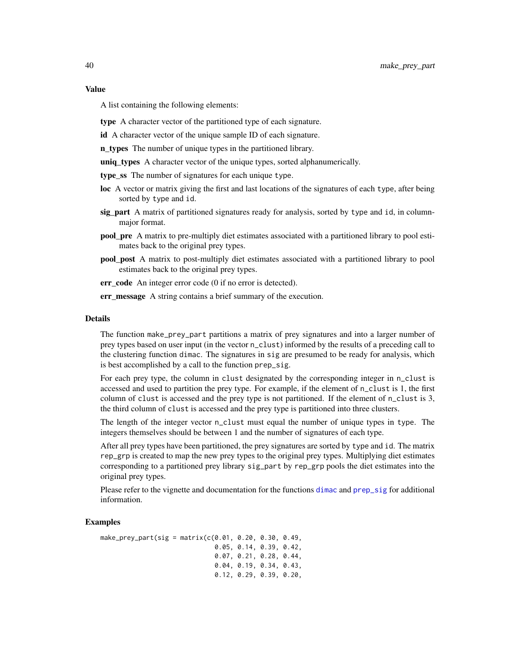#### <span id="page-39-0"></span>Value

A list containing the following elements:

type A character vector of the partitioned type of each signature.

id A character vector of the unique sample ID of each signature.

n\_types The number of unique types in the partitioned library.

uniq\_types A character vector of the unique types, sorted alphanumerically.

type\_ss The number of signatures for each unique type.

- loc A vector or matrix giving the first and last locations of the signatures of each type, after being sorted by type and id.
- sig part A matrix of partitioned signatures ready for analysis, sorted by type and id, in columnmajor format.
- pool\_pre A matrix to pre-multiply diet estimates associated with a partitioned library to pool estimates back to the original prey types.
- pool\_post A matrix to post-multiply diet estimates associated with a partitioned library to pool estimates back to the original prey types.

err\_code An integer error code (0 if no error is detected).

err\_message A string contains a brief summary of the execution.

#### Details

The function make\_prey\_part partitions a matrix of prey signatures and into a larger number of prey types based on user input (in the vector n\_clust) informed by the results of a preceding call to the clustering function dimac. The signatures in sig are presumed to be ready for analysis, which is best accomplished by a call to the function prep\_sig.

For each prey type, the column in clust designated by the corresponding integer in n\_clust is accessed and used to partition the prey type. For example, if the element of n\_clust is 1, the first column of clust is accessed and the prey type is not partitioned. If the element of n\_clust is 3, the third column of clust is accessed and the prey type is partitioned into three clusters.

The length of the integer vector n\_clust must equal the number of unique types in type. The integers themselves should be between 1 and the number of signatures of each type.

After all prey types have been partitioned, the prey signatures are sorted by type and id. The matrix rep\_grp is created to map the new prey types to the original prey types. Multiplying diet estimates corresponding to a partitioned prey library sig\_part by rep\_grp pools the diet estimates into the original prey types.

Please refer to the vignette and documentation for the functions [dimac](#page-11-1) and [prep\\_sig](#page-44-1) for additional information.

```
make\_prey\_part(sig = matrix(c(0.01, 0.20, 0.30, 0.49,0.05, 0.14, 0.39, 0.42,
                              0.07, 0.21, 0.28, 0.44,
                              0.04, 0.19, 0.34, 0.43,
                              0.12, 0.29, 0.39, 0.20,
```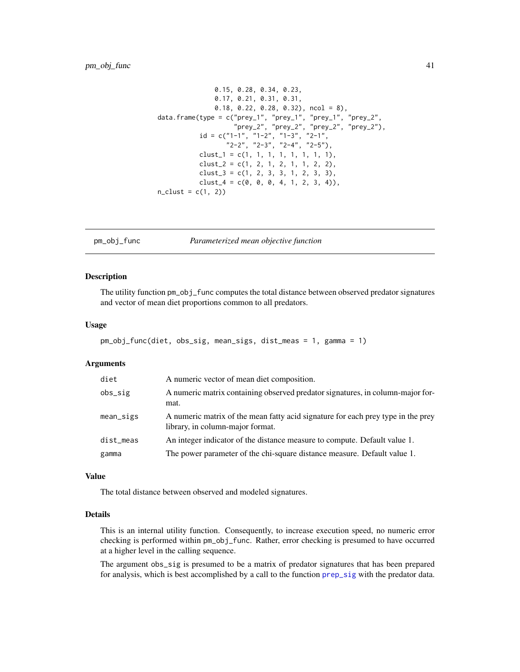```
0.15, 0.28, 0.34, 0.23,
               0.17, 0.21, 0.31, 0.31,
               0.18, 0.22, 0.28, 0.32), ncol = 8),
data.frame(type = c("prey_1", "prey_1", "prey_1", "prey_1", "prey_2","prey_2", "prey_2", "prey_2", "prey_2"),
           id = c("1-1", "1-2", "1-3", "2-1","2-2", "2-3", "2-4", "2-5"),
           clust_1 = c(1, 1, 1, 1, 1, 1, 1, 1),clust_2 = c(1, 2, 1, 2, 1, 1, 2, 2),
           clust_3 = c(1, 2, 3, 3, 1, 2, 3, 3),
           clust_4 = c(0, 0, 0, 4, 1, 2, 3, 4),
n_{clust} = c(1, 2)
```
#### pm\_obj\_func *Parameterized mean objective function*

#### Description

The utility function pm\_obj\_func computes the total distance between observed predator signatures and vector of mean diet proportions common to all predators.

#### Usage

```
pm_obj_func(diet, obs_sig, mean_sigs, dist_meas = 1, gamma = 1)
```
#### Arguments

| diet       | A numeric vector of mean diet composition.                                                                           |
|------------|----------------------------------------------------------------------------------------------------------------------|
| $obs\_sig$ | A numeric matrix containing observed predator signatures, in column-major for-<br>mat.                               |
| mean_sigs  | A numeric matrix of the mean fatty acid signature for each prey type in the prey<br>library, in column-major format. |
| dist_meas  | An integer indicator of the distance measure to compute. Default value 1.                                            |
| gamma      | The power parameter of the chi-square distance measure. Default value 1.                                             |

#### Value

The total distance between observed and modeled signatures.

#### Details

This is an internal utility function. Consequently, to increase execution speed, no numeric error checking is performed within pm\_obj\_func. Rather, error checking is presumed to have occurred at a higher level in the calling sequence.

The argument obs\_sig is presumed to be a matrix of predator signatures that has been prepared for analysis, which is best accomplished by a call to the function [prep\\_sig](#page-44-1) with the predator data.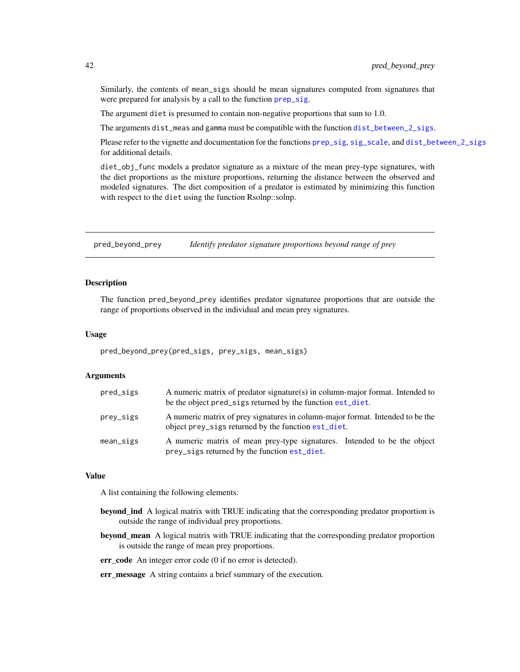Similarly, the contents of mean\_sigs should be mean signatures computed from signatures that were prepared for analysis by a call to the function [prep\\_sig](#page-44-1).

The argument diet is presumed to contain non-negative proportions that sum to 1.0.

The arguments dist\_meas and gamma must be compatible with the function [dist\\_between\\_2\\_sigs](#page-14-1).

Please refer to the vignette and documentation for the functions [prep\\_sig](#page-44-1), [sig\\_scale](#page-48-1), and [dist\\_between\\_2\\_sigs](#page-14-1) for additional details.

diet\_obj\_func models a predator signature as a mixture of the mean prey-type signatures, with the diet proportions as the mixture proportions, returning the distance between the observed and modeled signatures. The diet composition of a predator is estimated by minimizing this function with respect to the diet using the function Rsolnp::solnp.

pred\_beyond\_prey *Identify predator signature proportions beyond range of prey*

#### Description

The function pred\_beyond\_prey identifies predator signaturee proportions that are outside the range of proportions observed in the individual and mean prey signatures.

#### Usage

pred\_beyond\_prey(pred\_sigs, prey\_sigs, mean\_sigs)

#### Arguments

| pred_sigs    | A numeric matrix of predator signature(s) in column-major format. Intended to<br>be the object pred_sigs returned by the function est_diet. |
|--------------|---------------------------------------------------------------------------------------------------------------------------------------------|
| prey_sigs    | A numeric matrix of prey signatures in column-major format. Intended to be the<br>object prey_sigs returned by the function est_diet.       |
| $mean\_sign$ | A numeric matrix of mean prey-type signatures. Intended to be the object<br>prey_sigs returned by the function est_diet.                    |

#### Value

A list containing the following elements:

- **beyond\_ind** A logical matrix with TRUE indicating that the corresponding predator proportion is outside the range of individual prey proportions.
- **beyond\_mean** A logical matrix with TRUE indicating that the corresponding predator proportion is outside the range of mean prey proportions.
- err\_code An integer error code (0 if no error is detected).

err\_message A string contains a brief summary of the execution.

<span id="page-41-0"></span>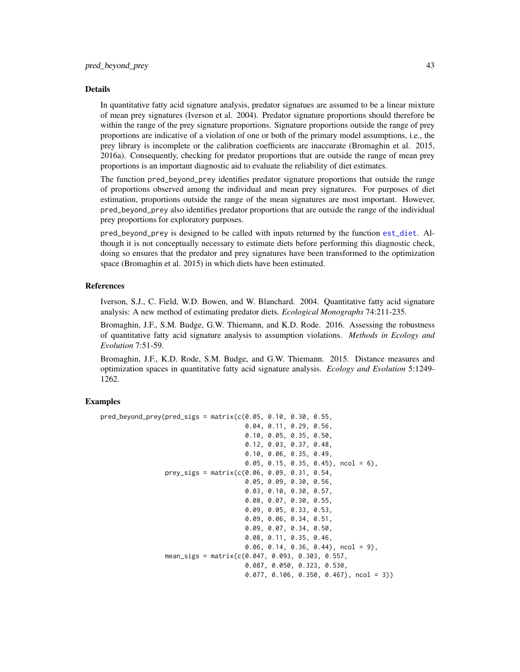#### <span id="page-42-0"></span>Details

In quantitative fatty acid signature analysis, predator signatues are assumed to be a linear mixture of mean prey signatures (Iverson et al. 2004). Predator signature proportions should therefore be within the range of the prey signature proportions. Signature proportions outside the range of prey proportions are indicative of a violation of one or both of the primary model assumptions, i.e., the prey library is incomplete or the calibration coefficients are inaccurate (Bromaghin et al. 2015, 2016a). Consequently, checking for predator proportions that are outside the range of mean prey proportions is an important diagnostic aid to evaluate the reliability of diet estimates.

The function pred\_beyond\_prey identifies predator signature proportions that outside the range of proportions observed among the individual and mean prey signatures. For purposes of diet estimation, proportions outside the range of the mean signatures are most important. However, pred\_beyond\_prey also identifies predator proportions that are outside the range of the individual prey proportions for exploratory purposes.

pred\_beyond\_prey is designed to be called with inputs returned by the function [est\\_diet](#page-17-1). Although it is not conceptually necessary to estimate diets before performing this diagnostic check, doing so ensures that the predator and prey signatures have been transformed to the optimization space (Bromaghin et al. 2015) in which diets have been estimated.

#### References

Iverson, S.J., C. Field, W.D. Bowen, and W. Blanchard. 2004. Quantitative fatty acid signature analysis: A new method of estimating predator diets. *Ecological Monographs* 74:211-235.

Bromaghin, J.F., S.M. Budge, G.W. Thiemann, and K.D. Rode. 2016. Assessing the robustness of quantitative fatty acid signature analysis to assumption violations. *Methods in Ecology and Evolution* 7:51-59.

Bromaghin, J.F., K.D. Rode, S.M. Budge, and G.W. Thiemann. 2015. Distance measures and optimization spaces in quantitative fatty acid signature analysis. *Ecology and Evolution* 5:1249- 1262.

```
pred\_beyond\_prey(pred\_sigs = matrix(c(0.05, 0.10, 0.30, 0.55,0.04, 0.11, 0.29, 0.56,
                                      0.10, 0.05, 0.35, 0.50,
                                      0.12, 0.03, 0.37, 0.48,
                                      0.10, 0.06, 0.35, 0.49,
                                      0.05, 0.15, 0.35, 0.45, ncol = 6),
                 prey_sigs = matrix(c(0.06, 0.09, 0.31, 0.54,
                                      0.05, 0.09, 0.30, 0.56,
                                      0.03, 0.10, 0.30, 0.57,
                                      0.08, 0.07, 0.30, 0.55,
                                      0.09, 0.05, 0.33, 0.53,
                                      0.09, 0.06, 0.34, 0.51,
                                      0.09, 0.07, 0.34, 0.50,
                                      0.08, 0.11, 0.35, 0.46,
                                      0.06, 0.14, 0.36, 0.44), ncol = 9),
                 mean_sigs = matrix(c(0.047, 0.093, 0.303, 0.557,
                                      0.087, 0.050, 0.323, 0.530,
                                      0.077, 0.106, 0.350, 0.467), ncol = 3))
```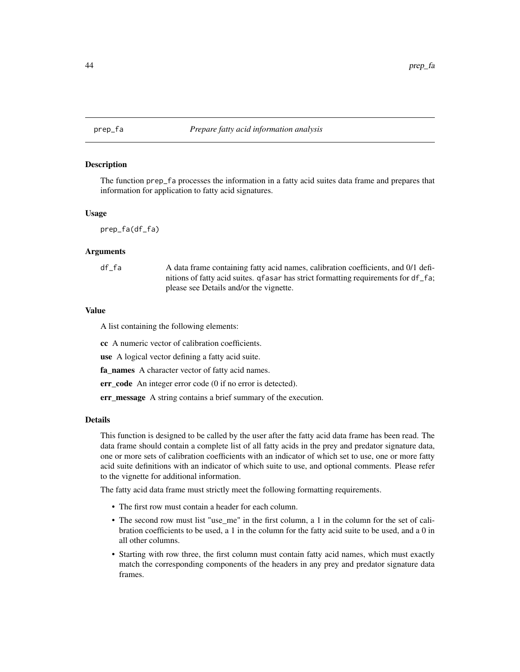<span id="page-43-1"></span><span id="page-43-0"></span>

#### **Description**

The function prep\_fa processes the information in a fatty acid suites data frame and prepares that information for application to fatty acid signatures.

#### Usage

prep\_fa(df\_fa)

#### Arguments

df\_fa A data frame containing fatty acid names, calibration coefficients, and 0/1 definitions of fatty acid suites. qfasar has strict formatting requirements for df\_fa; please see Details and/or the vignette.

#### Value

A list containing the following elements:

cc A numeric vector of calibration coefficients.

use A logical vector defining a fatty acid suite.

fa\_names A character vector of fatty acid names.

err code An integer error code (0 if no error is detected).

err\_message A string contains a brief summary of the execution.

#### Details

This function is designed to be called by the user after the fatty acid data frame has been read. The data frame should contain a complete list of all fatty acids in the prey and predator signature data, one or more sets of calibration coefficients with an indicator of which set to use, one or more fatty acid suite definitions with an indicator of which suite to use, and optional comments. Please refer to the vignette for additional information.

The fatty acid data frame must strictly meet the following formatting requirements.

- The first row must contain a header for each column.
- The second row must list "use\_me" in the first column, a 1 in the column for the set of calibration coefficients to be used, a 1 in the column for the fatty acid suite to be used, and a 0 in all other columns.
- Starting with row three, the first column must contain fatty acid names, which must exactly match the corresponding components of the headers in any prey and predator signature data frames.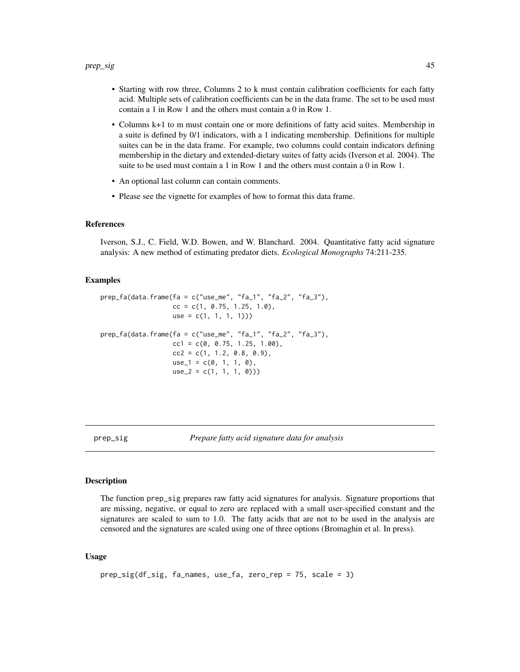- <span id="page-44-0"></span>• Starting with row three, Columns 2 to k must contain calibration coefficients for each fatty acid. Multiple sets of calibration coefficients can be in the data frame. The set to be used must contain a 1 in Row 1 and the others must contain a 0 in Row 1.
- Columns k+1 to m must contain one or more definitions of fatty acid suites. Membership in a suite is defined by 0/1 indicators, with a 1 indicating membership. Definitions for multiple suites can be in the data frame. For example, two columns could contain indicators defining membership in the dietary and extended-dietary suites of fatty acids (Iverson et al. 2004). The suite to be used must contain a 1 in Row 1 and the others must contain a 0 in Row 1.
- An optional last column can contain comments.
- Please see the vignette for examples of how to format this data frame.

#### References

Iverson, S.J., C. Field, W.D. Bowen, and W. Blanchard. 2004. Quantitative fatty acid signature analysis: A new method of estimating predator diets. *Ecological Monographs* 74:211-235.

#### Examples

```
prep_fa(data.frame(fa = c("use_me", "fa_1", "fa_2", "fa_3"),
                  cc = c(1, 0.75, 1.25, 1.0),
                  use = c(1, 1, 1, 1))prep_fa(data.frame(fa = c("use_me", "fa_1", "fa_2", "fa_3"),
                  cc1 = c(0, 0.75, 1.25, 1.00),
                  cc2 = c(1, 1.2, 0.8, 0.9),
                  use_1 = c(0, 1, 1, 0),
                  use_2 = c(1, 1, 1, 0))
```
<span id="page-44-1"></span>

prep\_sig *Prepare fatty acid signature data for analysis*

#### Description

The function prep\_sig prepares raw fatty acid signatures for analysis. Signature proportions that are missing, negative, or equal to zero are replaced with a small user-specified constant and the signatures are scaled to sum to 1.0. The fatty acids that are not to be used in the analysis are censored and the signatures are scaled using one of three options (Bromaghin et al. In press).

#### Usage

```
prep_sig(df_sig, fa_names, use_fa, zero_rep = 75, scale = 3)
```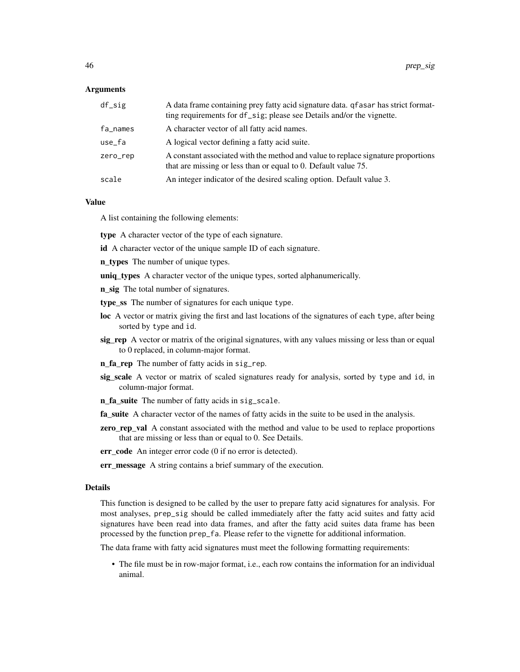#### Arguments

| df_sig   | A data frame containing prey fatty acid signature data. qf as ar has strict format-<br>ting requirements for df_sig; please see Details and/or the vignette. |
|----------|--------------------------------------------------------------------------------------------------------------------------------------------------------------|
| fa_names | A character vector of all fatty acid names.                                                                                                                  |
| use_fa   | A logical vector defining a fatty acid suite.                                                                                                                |
| zero_rep | A constant associated with the method and value to replace signature proportions<br>that are missing or less than or equal to 0. Default value 75.           |
| scale    | An integer indicator of the desired scaling option. Default value 3.                                                                                         |

#### Value

A list containing the following elements:

type A character vector of the type of each signature.

- id A character vector of the unique sample ID of each signature.
- **n\_types** The number of unique types.
- uniq\_types A character vector of the unique types, sorted alphanumerically.
- n\_sig The total number of signatures.
- type\_ss The number of signatures for each unique type.
- loc A vector or matrix giving the first and last locations of the signatures of each type, after being sorted by type and id.
- sig\_rep A vector or matrix of the original signatures, with any values missing or less than or equal to 0 replaced, in column-major format.
- n\_fa\_rep The number of fatty acids in sig\_rep.
- sig\_scale A vector or matrix of scaled signatures ready for analysis, sorted by type and id, in column-major format.
- n\_fa\_suite The number of fatty acids in sig\_scale.
- fa\_suite A character vector of the names of fatty acids in the suite to be used in the analysis.
- **zero\_rep\_val** A constant associated with the method and value to be used to replace proportions that are missing or less than or equal to 0. See Details.
- err\_code An integer error code (0 if no error is detected).

err\_message A string contains a brief summary of the execution.

#### Details

This function is designed to be called by the user to prepare fatty acid signatures for analysis. For most analyses, prep\_sig should be called immediately after the fatty acid suites and fatty acid signatures have been read into data frames, and after the fatty acid suites data frame has been processed by the function prep\_fa. Please refer to the vignette for additional information.

The data frame with fatty acid signatures must meet the following formatting requirements:

• The file must be in row-major format, i.e., each row contains the information for an individual animal.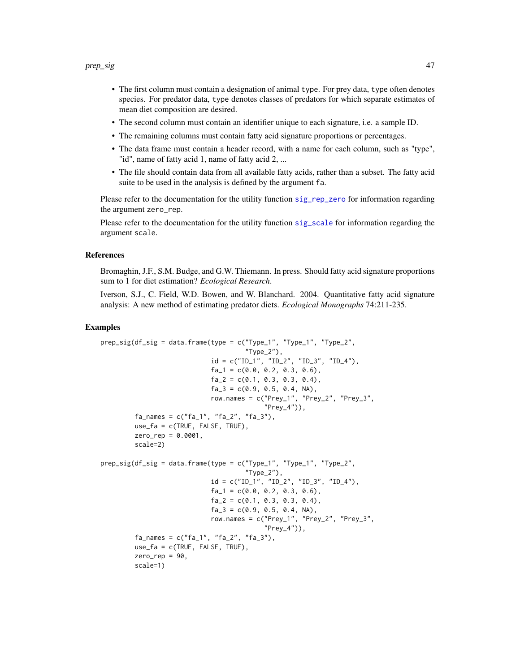- <span id="page-46-0"></span>• The first column must contain a designation of animal type. For prey data, type often denotes species. For predator data, type denotes classes of predators for which separate estimates of mean diet composition are desired.
- The second column must contain an identifier unique to each signature, i.e. a sample ID.
- The remaining columns must contain fatty acid signature proportions or percentages.
- The data frame must contain a header record, with a name for each column, such as "type", "id", name of fatty acid 1, name of fatty acid 2, ...
- The file should contain data from all available fatty acids, rather than a subset. The fatty acid suite to be used in the analysis is defined by the argument fa.

Please refer to the documentation for the utility function sig reposition are information regarding the argument zero\_rep.

Please refer to the documentation for the utility function [sig\\_scale](#page-48-1) for information regarding the argument scale.

#### References

Bromaghin, J.F., S.M. Budge, and G.W. Thiemann. In press. Should fatty acid signature proportions sum to 1 for diet estimation? *Ecological Research*.

Iverson, S.J., C. Field, W.D. Bowen, and W. Blanchard. 2004. Quantitative fatty acid signature analysis: A new method of estimating predator diets. *Ecological Monographs* 74:211-235.

```
prep_sig(df_sig = data.frame(type = c("Type_1", "Type_1", "Type_2","Type_2"),
                            id = c("ID_1", "ID_2", "ID_3", "ID_4"),fa_1 = c(0.0, 0.2, 0.3, 0.6),
                            fa_2 = c(0.1, 0.3, 0.3, 0.4)fa_3 = c(0.9, 0.5, 0.4, NA),row.names = c("Prey_1", "Prey_2", "Prey_3","Prey_4"),
         fa\_names = c("fa_1", "fa_2", "fa_3"),use_fa = c(TRUE, FALSE, TRUE),
        zero_{rep} = 0.0001,
        scale=2)
prep\_sig(df\_sig = data.frame(type = c("Type_1", "Type_1", "Type_2","Type_2",
                             id = c("ID_1", "ID_2", "ID_3", "ID_4"),fa_1 = c(0.0, 0.2, 0.3, 0.6),fa_2 = c(0.1, 0.3, 0.3, 0.4),fa_3 = c(0.9, 0.5, 0.4, NA),row.names = c("Prey_1", "Prey_2", "Prey_3","Prey_4")),
         fa\_names = c("fa_1", "fa_2", "fa_3"),use_fa = c(TRUE, FALSE, TRUE),
        zero_rep = 90,
        scale=1)
```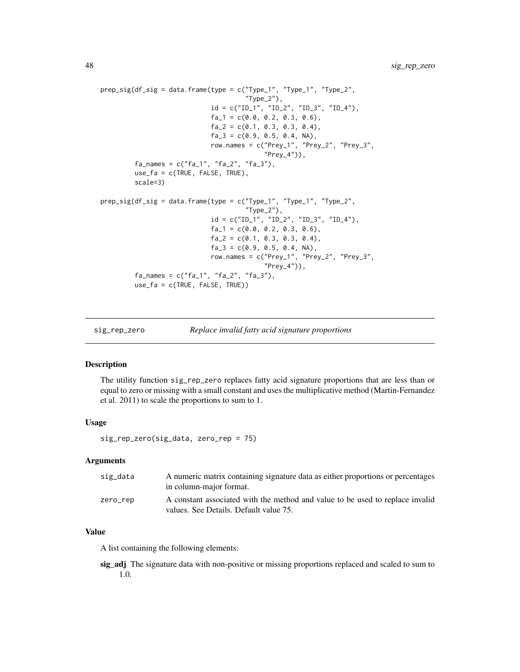```
prep\_sig(df\_sig = data.frame(type = c("Type_1", "Type_1", "Type_2","Type_2"),
                             \texttt{id = c("ID_1", "ID_2", "ID_3", "ID_4"),}fa_1 = c(0.0, 0.2, 0.3, 0.6),
                             fa_2 = c(0.1, 0.3, 0.3, 0.4),fa_3 = c(0.9, 0.5, 0.4, NA),row.names = c("Prey_1", "Prey_2", "Prey_3",
                                           "Prey_4")),
         fa\_names = c("fa_1", "fa_2", "fa_3"),use_fa = c(TRUE, FALSE, TRUE),
         scale=3)
prep_sig(df_sig = data.frame(type = c("Type_1", "Type_1", "Type_2",
                                       "Type_2"),
                             id = c("ID_1", "ID_2", "ID_3", "ID_4"),fa_1 = c(0.0, 0.2, 0.3, 0.6),fa_2 = c(0.1, 0.3, 0.3, 0.4),fa_3 = c(0.9, 0.5, 0.4, NA),row.names = c("Prey_1", "Prey_2", "Prey_3",
                                            "Prey_4")),
         fa\_names = c("fa_1", "fa_2", "fa_3"),use_fa = c(TRUE, FALSE, TRUE))
```

```
sig_rep_zero Replace invalid fatty acid signature proportions
```
#### Description

The utility function sig\_rep\_zero replaces fatty acid signature proportions that are less than or equal to zero or missing with a small constant and uses the multiplicative method (Martin-Fernandez et al. 2011) to scale the proportions to sum to 1.

#### Usage

sig\_rep\_zero(sig\_data, zero\_rep = 75)

#### **Arguments**

| sig_data | A numeric matrix containing signature data as either proportions or percentages<br>in column-major format.              |
|----------|-------------------------------------------------------------------------------------------------------------------------|
| zero_rep | A constant associated with the method and value to be used to replace invalid<br>values. See Details. Default value 75. |

#### Value

A list containing the following elements:

sig\_adj The signature data with non-positive or missing proportions replaced and scaled to sum to 1.0.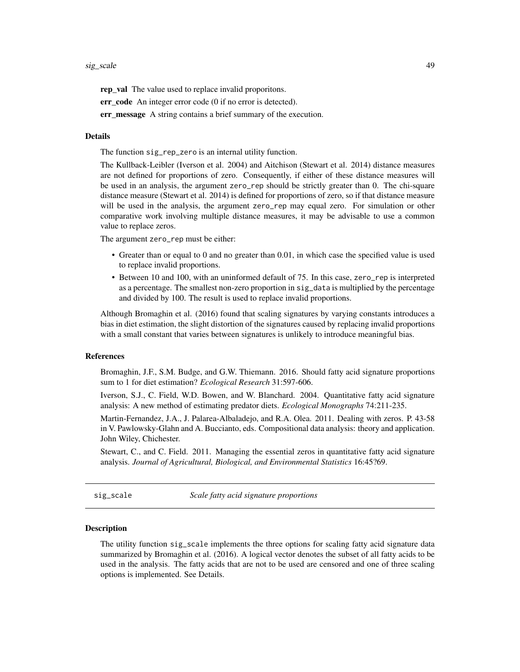<span id="page-48-0"></span>rep\_val The value used to replace invalid proporitons.

err\_code An integer error code (0 if no error is detected).

err message A string contains a brief summary of the execution.

#### Details

The function sig\_rep\_zero is an internal utility function.

The Kullback-Leibler (Iverson et al. 2004) and Aitchison (Stewart et al. 2014) distance measures are not defined for proportions of zero. Consequently, if either of these distance measures will be used in an analysis, the argument zero\_rep should be strictly greater than 0. The chi-square distance measure (Stewart et al. 2014) is defined for proportions of zero, so if that distance measure will be used in the analysis, the argument zero\_rep may equal zero. For simulation or other comparative work involving multiple distance measures, it may be advisable to use a common value to replace zeros.

The argument zero\_rep must be either:

- Greater than or equal to 0 and no greater than 0.01, in which case the specified value is used to replace invalid proportions.
- Between 10 and 100, with an uninformed default of 75. In this case, zero\_rep is interpreted as a percentage. The smallest non-zero proportion in sig\_data is multiplied by the percentage and divided by 100. The result is used to replace invalid proportions.

Although Bromaghin et al. (2016) found that scaling signatures by varying constants introduces a bias in diet estimation, the slight distortion of the signatures caused by replacing invalid proportions with a small constant that varies between signatures is unlikely to introduce meaningful bias.

#### References

Bromaghin, J.F., S.M. Budge, and G.W. Thiemann. 2016. Should fatty acid signature proportions sum to 1 for diet estimation? *Ecological Research* 31:597-606.

Iverson, S.J., C. Field, W.D. Bowen, and W. Blanchard. 2004. Quantitative fatty acid signature analysis: A new method of estimating predator diets. *Ecological Monographs* 74:211-235.

Martin-Fernandez, J.A., J. Palarea-Albaladejo, and R.A. Olea. 2011. Dealing with zeros. P. 43-58 in V. Pawlowsky-Glahn and A. Buccianto, eds. Compositional data analysis: theory and application. John Wiley, Chichester.

Stewart, C., and C. Field. 2011. Managing the essential zeros in quantitative fatty acid signature analysis. *Journal of Agricultural, Biological, and Environmental Statistics* 16:45?69.

<span id="page-48-1"></span>sig\_scale *Scale fatty acid signature proportions*

#### Description

The utility function sig\_scale implements the three options for scaling fatty acid signature data summarized by Bromaghin et al. (2016). A logical vector denotes the subset of all fatty acids to be used in the analysis. The fatty acids that are not to be used are censored and one of three scaling options is implemented. See Details.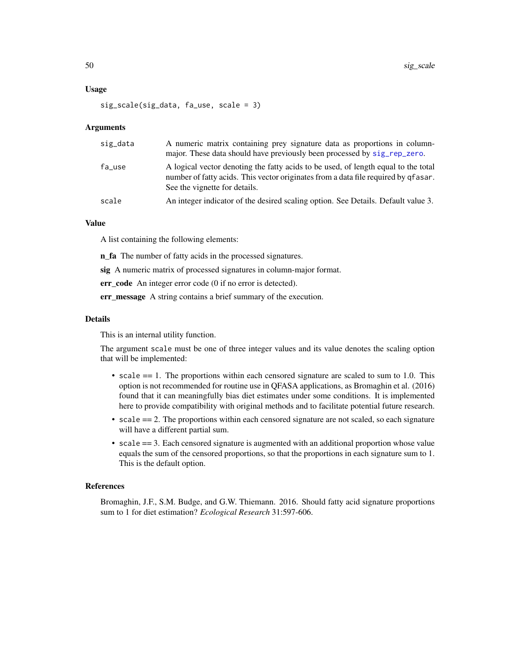#### <span id="page-49-0"></span>Usage

sig\_scale(sig\_data, fa\_use, scale = 3)

#### Arguments

| sig_data | A numeric matrix containing prey signature data as proportions in column-<br>major. These data should have previously been processed by sig_rep_zero.                                                     |
|----------|-----------------------------------------------------------------------------------------------------------------------------------------------------------------------------------------------------------|
| fa_use   | A logical vector denoting the fatty acids to be used, of length equal to the total<br>number of fatty acids. This vector originates from a data file required by qfasar.<br>See the vignette for details. |
| scale    | An integer indicator of the desired scaling option. See Details. Default value 3.                                                                                                                         |

#### Value

A list containing the following elements:

n\_fa The number of fatty acids in the processed signatures.

sig A numeric matrix of processed signatures in column-major format.

err\_code An integer error code (0 if no error is detected).

err\_message A string contains a brief summary of the execution.

#### Details

This is an internal utility function.

The argument scale must be one of three integer values and its value denotes the scaling option that will be implemented:

- scale == 1. The proportions within each censored signature are scaled to sum to 1.0. This option is not recommended for routine use in QFASA applications, as Bromaghin et al. (2016) found that it can meaningfully bias diet estimates under some conditions. It is implemented here to provide compatibility with original methods and to facilitate potential future research.
- scale == 2. The proportions within each censored signature are not scaled, so each signature will have a different partial sum.
- scale == 3. Each censored signature is augmented with an additional proportion whose value equals the sum of the censored proportions, so that the proportions in each signature sum to 1. This is the default option.

#### References

Bromaghin, J.F., S.M. Budge, and G.W. Thiemann. 2016. Should fatty acid signature proportions sum to 1 for diet estimation? *Ecological Research* 31:597-606.